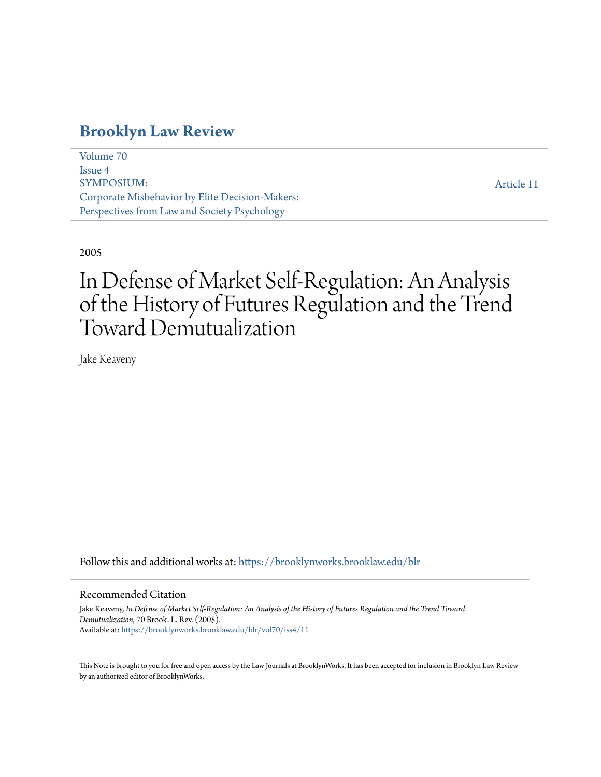# **[Brooklyn Law Review](https://brooklynworks.brooklaw.edu/blr?utm_source=brooklynworks.brooklaw.edu%2Fblr%2Fvol70%2Fiss4%2F11&utm_medium=PDF&utm_campaign=PDFCoverPages)**

[Volume 70](https://brooklynworks.brooklaw.edu/blr/vol70?utm_source=brooklynworks.brooklaw.edu%2Fblr%2Fvol70%2Fiss4%2F11&utm_medium=PDF&utm_campaign=PDFCoverPages) [Issue 4](https://brooklynworks.brooklaw.edu/blr/vol70/iss4?utm_source=brooklynworks.brooklaw.edu%2Fblr%2Fvol70%2Fiss4%2F11&utm_medium=PDF&utm_campaign=PDFCoverPages) SYMPOSIUM: Corporate Misbehavior by Elite Decision-Makers: Perspectives from Law and Society Psychology

[Article 11](https://brooklynworks.brooklaw.edu/blr/vol70/iss4/11?utm_source=brooklynworks.brooklaw.edu%2Fblr%2Fvol70%2Fiss4%2F11&utm_medium=PDF&utm_campaign=PDFCoverPages)

# 2005

# In Defense of Market Self-Regulation: An Analysis of the History of Futures Regulation and the Trend Toward Demutualization

Jake Keaveny

Follow this and additional works at: [https://brooklynworks.brooklaw.edu/blr](https://brooklynworks.brooklaw.edu/blr?utm_source=brooklynworks.brooklaw.edu%2Fblr%2Fvol70%2Fiss4%2F11&utm_medium=PDF&utm_campaign=PDFCoverPages)

#### Recommended Citation

Jake Keaveny, *In Defense of Market Self-Regulation: An Analysis of the History of Futures Regulation and the Trend Toward Demutualization*, 70 Brook. L. Rev. (2005). Available at: [https://brooklynworks.brooklaw.edu/blr/vol70/iss4/11](https://brooklynworks.brooklaw.edu/blr/vol70/iss4/11?utm_source=brooklynworks.brooklaw.edu%2Fblr%2Fvol70%2Fiss4%2F11&utm_medium=PDF&utm_campaign=PDFCoverPages)

This Note is brought to you for free and open access by the Law Journals at BrooklynWorks. It has been accepted for inclusion in Brooklyn Law Review by an authorized editor of BrooklynWorks.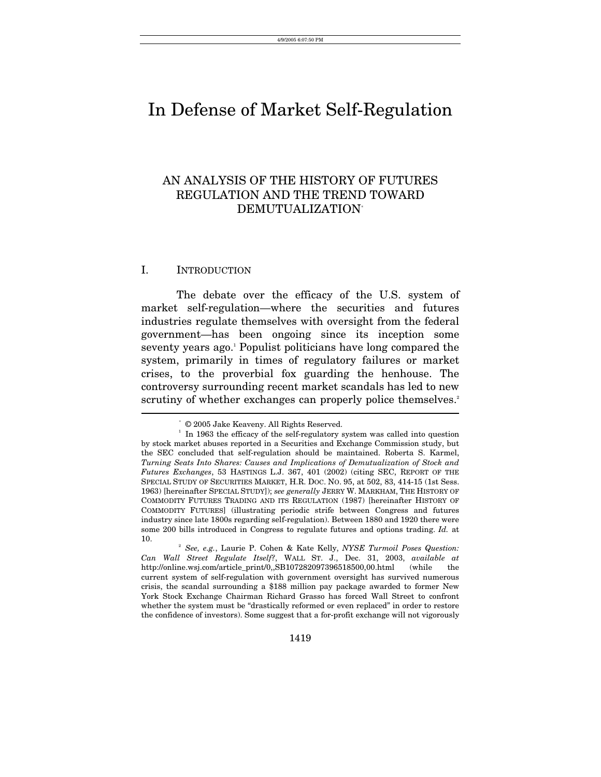# In Defense of Market Self-Regulation

# AN ANALYSIS OF THE HISTORY OF FUTURES REGULATION AND THE TREND TOWARD DEMUTUALIZATIO[N\\*](#page-1-0)

# I. INTRODUCTION

The debate over the efficacy of the U.S. system of market self-regulation—where the securities and futures industries regulate themselves with oversight from the federal government—has been ongoing since its inception some seventyyears ago.<sup>1</sup> Populist politicians have long compared the system, primarily in times of regulatory failures or market crises, to the proverbial fox guarding the henhouse. The controversy surrounding recent market scandals has led to new scrutiny of whether exchanges can properly police themselves.<sup>2</sup>  $\overline{\phantom{a}}$ 

<span id="page-1-1"></span><span id="page-1-0"></span><sup>\*</sup>

 $^\circ$  © 2005 Jake Keaveny. All Rights Reserved.  $^1$  In 1963 the efficacy of the self-regulatory system was called into question by stock market abuses reported in a Securities and Exchange Commission study, but the SEC concluded that self-regulation should be maintained. Roberta S. Karmel, *Turning Seats Into Shares: Causes and Implications of Demutualization of Stock and Futures Exchanges*, 53 HASTINGS L.J. 367, 401 (2002) (citing SEC, REPORT OF THE SPECIAL STUDY OF SECURITIES MARKET, H.R. DOC. NO. 95, at 502, 83, 414-15 (1st Sess. 1963) [hereinafter SPECIAL STUDY]); *see generally* JERRY W. MARKHAM, THE HISTORY OF COMMODITY FUTURES TRADING AND ITS REGULATION (1987) [hereinafter HISTORY OF COMMODITY FUTURES] (illustrating periodic strife between Congress and futures industry since late 1800s regarding self-regulation). Between 1880 and 1920 there were some 200 bills introduced in Congress to regulate futures and options trading. *Id.* at 10.

<span id="page-1-2"></span><sup>2</sup>  *See, e.g.*, Laurie P. Cohen & Kate Kelly, *NYSE Turmoil Poses Question: Can Wall Street Regulate Itself?*, WALL ST. J., Dec. 31, 2003, *available at* http://online.wsj.com/article\_print/0,,SB107282097396518500,00.html (while the current system of self-regulation with government oversight has survived numerous crisis, the scandal surrounding a \$188 million pay package awarded to former New York Stock Exchange Chairman Richard Grasso has forced Wall Street to confront whether the system must be "drastically reformed or even replaced" in order to restore the confidence of investors). Some suggest that a for-profit exchange will not vigorously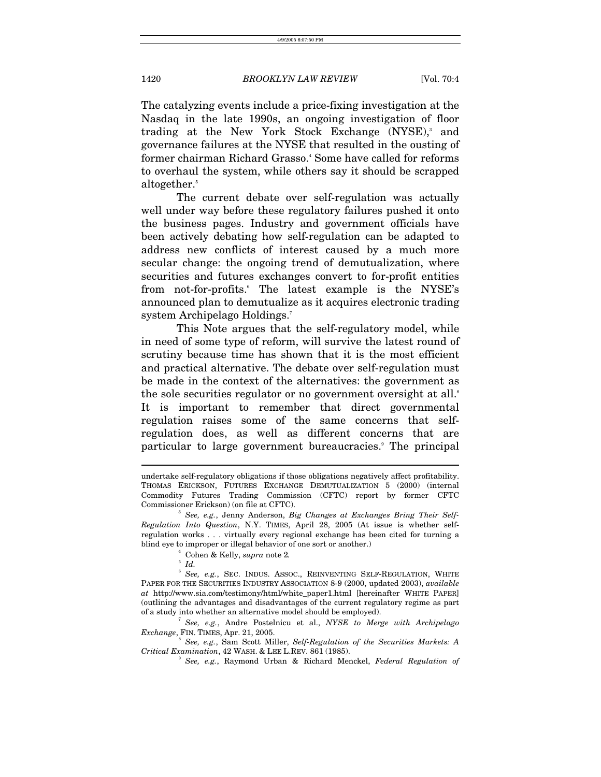The catalyzing events include a price-fixing investigation at the Nasdaq in the late 1990s, an ongoing investigation of floor trading at the New York Stock Exchange (NYSE),<sup>[3](#page-2-0)</sup> and governance failures at the NYSE that resulted in the ousting of formerchairman Richard Grasso.<sup>4</sup> Some have called for reforms to overhaul the system, while others say it should be scrapped altogether.<sup>5</sup>

The current debate over self-regulation was actually well under way before these regulatory failures pushed it onto the business pages. Industry and government officials have been actively debating how self-regulation can be adapted to address new conflicts of interest caused by a much more secular change: the ongoing trend of demutualization, where securities and futures exchanges convert to for-profit entities from not-for-profits. The latest example is the NYSE's announced plan to demutualize as it acquires electronic trading system Archipelago Holdings[.7](#page-2-4)

This Note argues that the self-regulatory model, while in need of some type of reform, will survive the latest round of scrutiny because time has shown that it is the most efficient and practical alternative. The debate over self-regulation must be made in the context of the alternatives: the government as the sole securities regulator or no government oversight at all.<sup>8</sup> It is important to remember that direct governmental regulation raises some of the same concerns that selfregulation does, as well as different concerns that are particular to large government bureaucracies.<sup>[9](#page-2-6)</sup> The principal

 $\overline{a}$ 

<span id="page-2-4"></span>*See, e.g.*, Andre Postelnicu et al., *NYSE to Merge with Archipelago Exchange*, FIN. TIMES, Apr. 21, 2005.

 *See, e.g.*, Sam Scott Miller, *Self-Regulation of the Securities Markets: A Critical Examination*, 42 WASH. & LEE L.REV. 861 (1985). 9

<span id="page-2-6"></span><span id="page-2-5"></span> *See, e.g.*, Raymond Urban & Richard Menckel, *Federal Regulation of* 

undertake self-regulatory obligations if those obligations negatively affect profitability. THOMAS ERICKSON, FUTURES EXCHANGE DEMUTUALIZATION 5 (2000) (internal Commodity Futures Trading Commission (CFTC) report by former CFTC Commissioner Erickson) (on file at CFTC). 3

<span id="page-2-0"></span><sup>&</sup>lt;sup>3</sup> See, e.g., Jenny Anderson, *Big Changes at Exchanges Bring Their Self-Regulation Into Question*, N.Y. TIMES, April 28, 2005 (At issue is whether selfregulation works . . . virtually every regional exchange has been cited for turning a blind eye to improper or illegal behavior of one sort or another.) 4

<span id="page-2-1"></span>Cohen & Kelly, *supra* note 2*.*

<span id="page-2-3"></span><span id="page-2-2"></span> $^5$  *Id.* 

<sup>&</sup>lt;sup>6</sup> See, e.g., SEC. INDUS. ASSOC., REINVENTING SELF-REGULATION, WHITE PAPER FOR THE SECURITIES INDUSTRY ASSOCIATION 8-9 (2000, updated 2003), *available at* http://www.sia.com/testimony/html/white\_paper1.html [hereinafter WHITE PAPER] (outlining the advantages and disadvantages of the current regulatory regime as part of a study into whether an alternative model should be employed). 7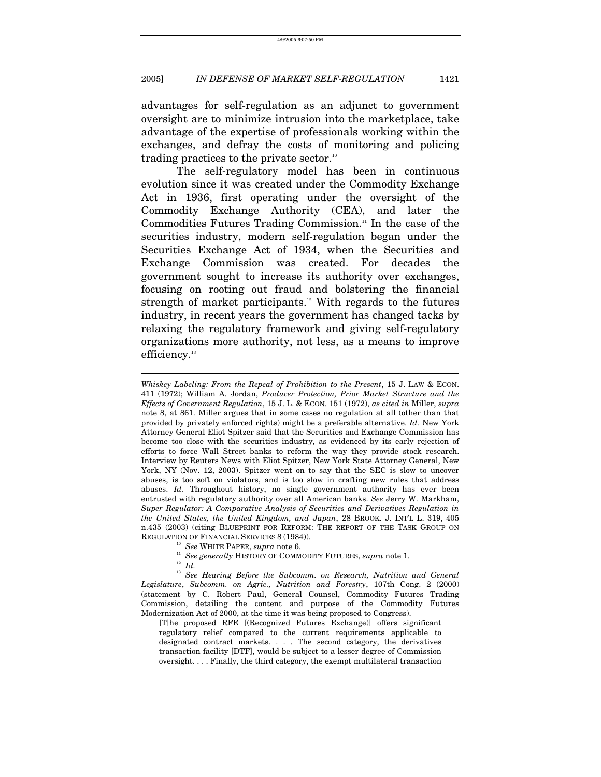advantages for self-regulation as an adjunct to government oversight are to minimize intrusion into the marketplace, take advantage of the expertise of professionals working within the exchanges, and defray the costs of monitoring and policing trading practices to the private sector.<sup>10</sup>

The self-regulatory model has been in continuous evolution since it was created under the Commodity Exchange Act in 1936, first operating under the oversight of the Commodity Exchange Authority (CEA), and later the Commodities Futures Trading Commission.<sup>11</sup> In the case of the securities industry, modern self-regulation began under the Securities Exchange Act of 1934, when the Securities and Exchange Commission was created. For decades the government sought to increase its authority over exchanges, focusing on rooting out fraud and bolstering the financial strength of market participants.<sup>12</sup> With regards to the futures industry, in recent years the government has changed tacks by relaxing the regulatory framework and giving self-regulatory organizations more authority, not less, as a means to improve efficiency.<sup>[13](#page-3-3)</sup>

<span id="page-3-0"></span>

 $\overline{a}$ 

REGULATION OF FINANCIAL SERVICES 8 (1984)).<br>
<sup>10</sup> See WHITE PAPER, *supra* note 6.<br>
<sup>11</sup> See generally HISTORY OF COMMODITY FUTURES, *supra* note 1.<br>
<sup>12</sup> Id.<br>
<sup>13</sup> See Hearing Before the Subcomm. on Research, Nutrition a *Legislature*, *Subcomm. on Agric., Nutrition and Forestry*, 107th Cong. 2 (2000) (statement by C. Robert Paul, General Counsel, Commodity Futures Trading Commission, detailing the content and purpose of the Commodity Futures Modernization Act of 2000, at the time it was being proposed to Congress).

[T]he proposed RFE [(Recognized Futures Exchange)] offers significant regulatory relief compared to the current requirements applicable to designated contract markets. . . . The second category, the derivatives transaction facility [DTF], would be subject to a lesser degree of Commission oversight. . . . Finally, the third category, the exempt multilateral transaction

*Whiskey Labeling: From the Repeal of Prohibition to the Present*, 15 J. LAW & ECON. 411 (1972); William A. Jordan, *Producer Protection, Prior Market Structure and the Effects of Government Regulation*, 15 J. L. & ECON. 151 (1972), *as cited in* Miller, *supra*  note 8, at 861. Miller argues that in some cases no regulation at all (other than that provided by privately enforced rights) might be a preferable alternative. *Id.* New York Attorney General Eliot Spitzer said that the Securities and Exchange Commission has become too close with the securities industry, as evidenced by its early rejection of efforts to force Wall Street banks to reform the way they provide stock research. Interview by Reuters News with Eliot Spitzer, New York State Attorney General, New York, NY (Nov. 12, 2003). Spitzer went on to say that the SEC is slow to uncover abuses, is too soft on violators, and is too slow in crafting new rules that address abuses. *Id.* Throughout history, no single government authority has ever been entrusted with regulatory authority over all American banks. *See* Jerry W. Markham, *Super Regulator: A Comparative Analysis of Securities and Derivatives Regulation in the United States, the United Kingdom, and Japan*, 28 BROOK. J. INT'L L. 319, 405 n.435 (2003) (citing BLUEPRINT FOR REFORM: THE REPORT OF THE TASK GROUP ON

<span id="page-3-1"></span>

<span id="page-3-3"></span><span id="page-3-2"></span>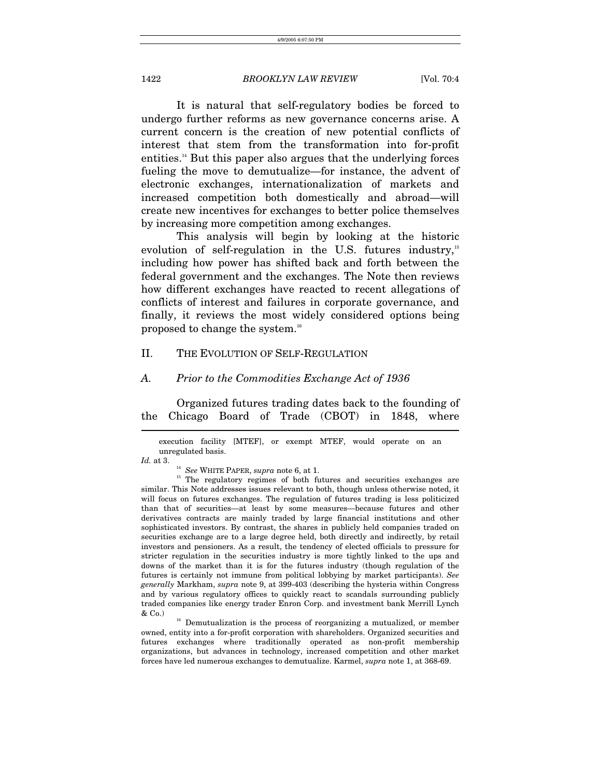It is natural that self-regulatory bodies be forced to undergo further reforms as new governance concerns arise. A current concern is the creation of new potential conflicts of interest that stem from the transformation into for-profit entities.<sup>14</sup> But this paper also argues that the underlying forces fueling the move to demutualize—for instance, the advent of electronic exchanges, internationalization of markets and increased competition both domestically and abroad—will create new incentives for exchanges to better police themselves by increasing more competition among exchanges.

This analysis will begin by looking at the historic evolution of self-regulation in the U.S. futures industry.<sup>[15](#page-4-1)</sup> including how power has shifted back and forth between the federal government and the exchanges. The Note then reviews how different exchanges have reacted to recent allegations of conflicts of interest and failures in corporate governance, and finally, it reviews the most widely considered options being proposed to change the system.[16](#page-4-2)

# II. THE EVOLUTION OF SELF-REGULATION

#### *A. Prior to the Commodities Exchange Act of 1936*

Organized futures trading dates back to the founding of the Chicago Board of Trade (CBOT) in 1848, where  $\overline{a}$ 

<span id="page-4-2"></span>owned, entity into a for-profit corporation with shareholders. Organized securities and futures exchanges where traditionally operated as non-profit membership organizations, but advances in technology, increased competition and other market forces have led numerous exchanges to demutualize. Karmel, *supra* note 1, at 368-69.

execution facility [MTEF], or exempt MTEF, would operate on an unregulated basis.

<span id="page-4-1"></span><span id="page-4-0"></span>

*Id.* at 3. <sup>14</sup> See WHITE PAPER, *supra* note 6, at 1. <sup>15</sup> The regulatory regimes of both futures and securities exchanges are similar. This Note addresses issues relevant to both, though unless otherwise noted, it will focus on futures exchanges. The regulation of futures trading is less politicized than that of securities—at least by some measures—because futures and other derivatives contracts are mainly traded by large financial institutions and other sophisticated investors. By contrast, the shares in publicly held companies traded on securities exchange are to a large degree held, both directly and indirectly, by retail investors and pensioners. As a result, the tendency of elected officials to pressure for stricter regulation in the securities industry is more tightly linked to the ups and downs of the market than it is for the futures industry (though regulation of the futures is certainly not immune from political lobbying by market participants). *See generally* Markham, *supra* note 9, at 399-403 (describing the hysteria within Congress and by various regulatory offices to quickly react to scandals surrounding publicly traded companies like energy trader Enron Corp. and investment bank Merrill Lynch & Co.)  $\alpha$ <sup>16</sup> Demutualization is the process of reorganizing a mutualized, or member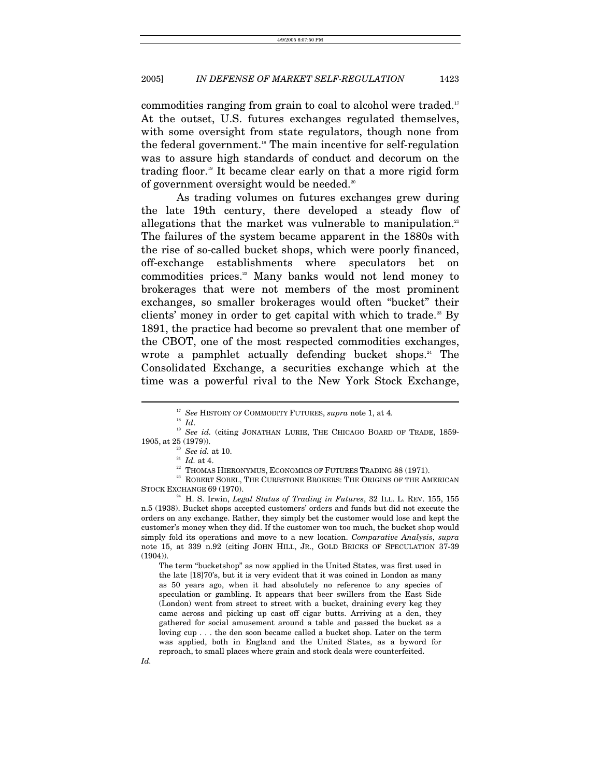commodities ranging from grain to coal to alcohol were traded.<sup>[17](#page-5-0)</sup> At the outset, U.S. futures exchanges regulated themselves, with some oversight from state regulators, though none from the federal government.<sup>18</sup> The main incentive for self-regulation was to assure high standards of conduct and decorum on the trading floor.<sup>19</sup> It became clear early on that a more rigid form of government oversight would be needed.<sup>20</sup>

As trading volumes on futures exchanges grew during the late 19th century, there developed a steady flow of allegations that the market was vulnerable to manipulation.<sup>[21](#page-5-4)</sup> The failures of the system became apparent in the 1880s with the rise of so-called bucket shops, which were poorly financed, off-exchange establishments where speculators bet on commodities prices[.22](#page-5-5) Many banks would not lend money to brokerages that were not members of the most prominent exchanges, so smaller brokerages would often "bucket" their clients' money in order to get capital with which to trade.<sup>23</sup> By 1891, the practice had become so prevalent that one member of the CBOT, one of the most respected commodities exchanges, wrote a pamphlet actually defending bucket shops.<sup>24</sup> The Consolidated Exchange, a securities exchange which at the time was a powerful rival to the New York Stock Exchange,

 $\overline{a}$ 

The term "bucketshop" as now applied in the United States, was first used in the late [18]70's, but it is very evident that it was coined in London as many as 50 years ago, when it had absolutely no reference to any species of speculation or gambling. It appears that beer swillers from the East Side (London) went from street to street with a bucket, draining every keg they came across and picking up cast off cigar butts. Arriving at a den, they gathered for social amusement around a table and passed the bucket as a loving cup . . . the den soon became called a bucket shop. Later on the term was applied, both in England and the United States, as a byword for reproach, to small places where grain and stock deals were counterfeited.

<span id="page-5-0"></span>

<span id="page-5-2"></span><span id="page-5-1"></span>

<sup>&</sup>lt;sup>17</sup> See HISTORY OF COMMODITY FUTURES, *supra* note 1, at 4.<br><sup>18</sup> Id. 19 *See id.* (citing JONATHAN LURIE, THE CHICAGO BOARD OF TRADE, 1859-1905, at 25 (1979)). <br><sup>20</sup> See id. at 10. <br><sup>21</sup> *Id.* at 4. <sup>22</sup> THOMAS HIERONYMUS, ECONOMICS OF FUTURES TRADING 88 (1971). <sup>23</sup> ROBERT SOBEL, THE CURBSTONE BROKERS: THE ORIGINS OF THE AMERICAN

<span id="page-5-3"></span>

<span id="page-5-4"></span>

<span id="page-5-7"></span><span id="page-5-6"></span><span id="page-5-5"></span>

STOCK EXCHANGE 69 (1970).<br><sup>24</sup> H. S. Irwin, *Legal Status of Trading in Futures*, 32 ILL. L. REV. 155, 155

n.5 (1938). Bucket shops accepted customers' orders and funds but did not execute the orders on any exchange. Rather, they simply bet the customer would lose and kept the customer's money when they did. If the customer won too much, the bucket shop would simply fold its operations and move to a new location. *Comparative Analysis*, *supra* note 15, at 339 n.92 (citing JOHN HILL, JR., GOLD BRICKS OF SPECULATION 37-39 (1904)).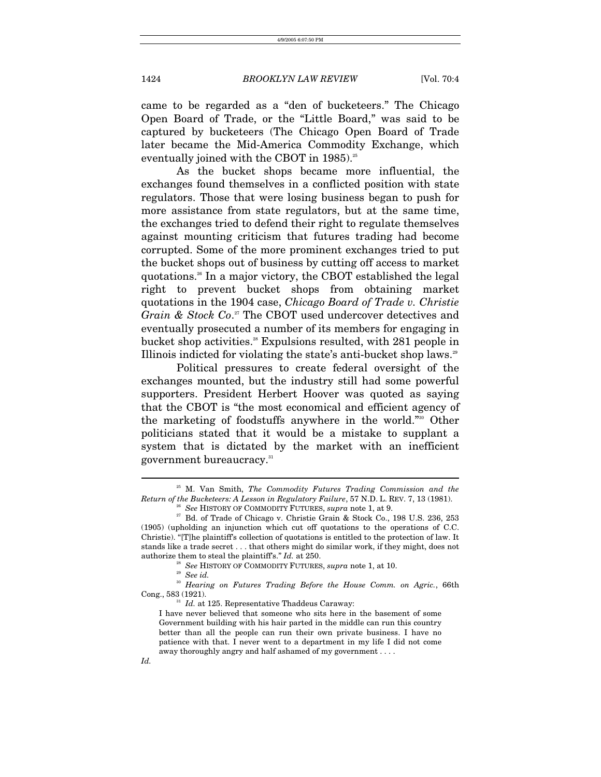came to be regarded as a "den of bucketeers." The Chicago Open Board of Trade, or the "Little Board," was said to be captured by bucketeers (The Chicago Open Board of Trade later became the Mid-America Commodity Exchange, which eventually joined with the CBOT in 1985).<sup>25</sup>

As the bucket shops became more influential, the exchanges found themselves in a conflicted position with state regulators. Those that were losing business began to push for more assistance from state regulators, but at the same time, the exchanges tried to defend their right to regulate themselves against mounting criticism that futures trading had become corrupted. Some of the more prominent exchanges tried to put the bucket shops out of business by cutting off access to market quotations.[26](#page-6-1) In a major victory, the CBOT established the legal right to prevent bucket shops from obtaining market quotations in the 1904 case, *Chicago Board of Trade v. Christie Grain & Stock Co*. [27](#page-6-2) The CBOT used undercover detectives and eventually prosecuted a number of its members for engaging in bucket shop activities.<sup>28</sup> Expulsions resulted, with 281 people in Illinois indicted for violating the state's anti-bucket shop laws.<sup>29</sup>

Political pressures to create federal oversight of the exchanges mounted, but the industry still had some powerful supporters. President Herbert Hoover was quoted as saying that the CBOT is "the most economical and efficient agency of the marketing of foodstuffs anywhere in the world.["30](#page-6-5) Other politicians stated that it would be a mistake to supplant a system that is dictated by the market with an inefficient government bureaucracy.<sup>31</sup>

 $\overline{a}$ 

*Id.* 

<sup>25</sup> M. Van Smith, *The Commodity Futures Trading Commission and the*  Return of the Bucketeers: A Lesson in Regulatory Failure, 57 N.D. L. REV. 7, 13 (1981).<br><sup>26</sup> See HISTORY OF COMMODITY FUTURES, *supra* note 1, at 9.<br><sup>27</sup> Bd. of Trade of Chicago v. Christie Grain & Stock Co., 198 U.S. 236

<span id="page-6-2"></span><span id="page-6-1"></span><span id="page-6-0"></span>

<sup>(1905) (</sup>upholding an injunction which cut off quotations to the operations of C.C. Christie). "[T]he plaintiff's collection of quotations is entitled to the protection of law. It stands like a trade secret . . . that others might do similar work, if they might, does not authorize them to steal the plaintiff's." *Id.* at 250.<br><sup>28</sup> See HISTORY OF COMMODITY FUTURES, *supra* note 1, at 10.<br><sup>29</sup> See *id.* 

<span id="page-6-3"></span>

<span id="page-6-5"></span><span id="page-6-4"></span>

<sup>&</sup>lt;sup>30</sup> Hearing on Futures Trading Before the House Comm. on Agric., 66th Cong., 583 (1921).

<span id="page-6-6"></span><sup>&</sup>lt;sup>31</sup> *Id.* at 125. Representative Thaddeus Caraway:

I have never believed that someone who sits here in the basement of some Government building with his hair parted in the middle can run this country better than all the people can run their own private business. I have no patience with that. I never went to a department in my life I did not come away thoroughly angry and half ashamed of my government . . . .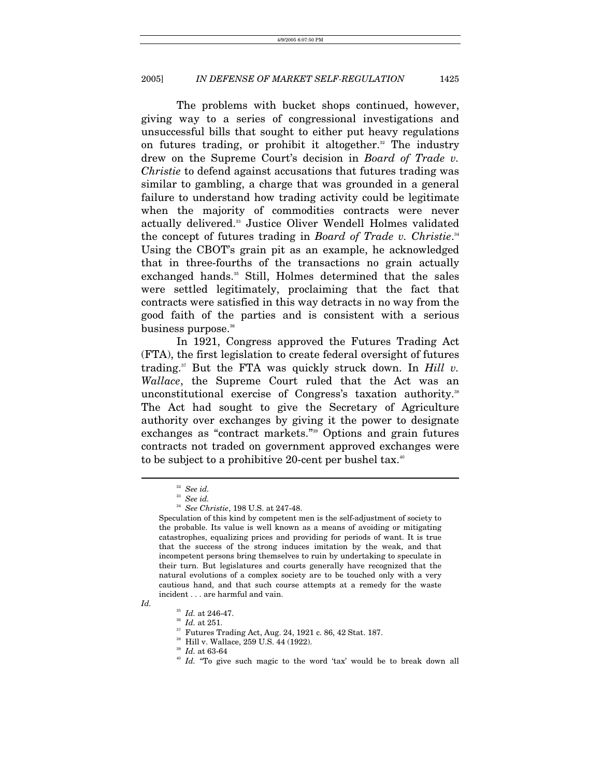The problems with bucket shops continued, however, giving way to a series of congressional investigations and unsuccessful bills that sought to either put heavy regulations on futures trading, or prohibit it altogether. $32$  The industry drew on the Supreme Court's decision in *Board of Trade v. Christie* to defend against accusations that futures trading was similar to gambling, a charge that was grounded in a general failure to understand how trading activity could be legitimate when the majority of commodities contracts were never actually delivered[.33](#page-7-1) Justice Oliver Wendell Holmes validated the concept of futures trading in *Board of Trade v. Christie.*<sup>[34](#page-7-2)</sup> Using the CBOT's grain pit as an example, he acknowledged that in three-fourths of the transactions no grain actually exchanged hands.<sup>35</sup> Still, Holmes determined that the sales were settled legitimately, proclaiming that the fact that contracts were satisfied in this way detracts in no way from the good faith of the parties and is consistent with a serious business purpose.<sup>36</sup>

In 1921, Congress approved the Futures Trading Act (FTA), the first legislation to create federal oversight of futures trading.[37](#page-7-5) But the FTA was quickly struck down. In *Hill v. Wallace*, the Supreme Court ruled that the Act was an unconstitutional exercise of Congress's taxation authority.<sup>[38](#page-7-6)</sup> The Act had sought to give the Secretary of Agriculture authority over exchanges by giving it the power to designate exchanges as "contract markets."[39](#page-7-7) Options and grain futures contracts not traded on government approved exchanges were to be subject to a prohibitive 20-cent per bushel tax.<sup>40</sup>

*Id.* 

 $\overline{a}$ 

<span id="page-7-5"></span><span id="page-7-4"></span>

<span id="page-7-3"></span><sup>35</sup> *Id.* at 246-47. 36 *Id.* at 251. 37 Futures Trading Act, Aug. 24, 1921 c. 86, 42 Stat. 187.

<span id="page-7-7"></span>

<span id="page-7-0"></span><sup>32</sup> *See id.*

<span id="page-7-1"></span><sup>33</sup> *See id.*

<span id="page-7-2"></span><sup>34</sup> *See Christie*, 198 U.S. at 247-48.

Speculation of this kind by competent men is the self-adjustment of society to the probable. Its value is well known as a means of avoiding or mitigating catastrophes, equalizing prices and providing for periods of want. It is true that the success of the strong induces imitation by the weak, and that incompetent persons bring themselves to ruin by undertaking to speculate in their turn. But legislatures and courts generally have recognized that the natural evolutions of a complex society are to be touched only with a very cautious hand, and that such course attempts at a remedy for the waste incident . . . are harmful and vain.

<span id="page-7-6"></span><sup>&</sup>lt;sup>38</sup> Hill v. Wallace, 259 U.S. 44 (1922).<br><sup>39</sup> Id. at 63-64

<span id="page-7-8"></span><sup>&</sup>lt;sup>40</sup> Id. "To give such magic to the word 'tax' would be to break down all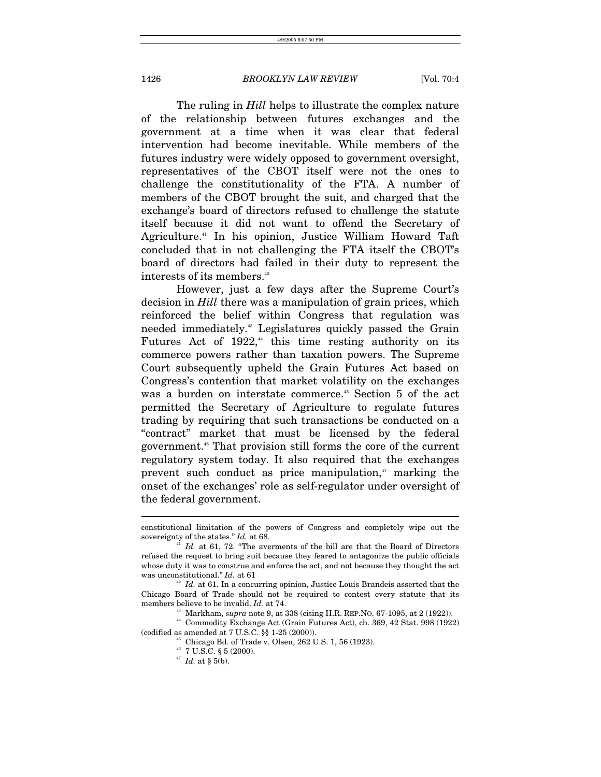The ruling in *Hill* helps to illustrate the complex nature of the relationship between futures exchanges and the government at a time when it was clear that federal intervention had become inevitable. While members of the futures industry were widely opposed to government oversight, representatives of the CBOT itself were not the ones to challenge the constitutionality of the FTA. A number of members of the CBOT brought the suit, and charged that the exchange's board of directors refused to challenge the statute itself because it did not want to offend the Secretary of Agriculture.[41](#page-8-0) In his opinion, Justice William Howard Taft concluded that in not challenging the FTA itself the CBOT's board of directors had failed in their duty to represent the interests of its members.<sup>[42](#page-8-1)</sup>

However, just a few days after the Supreme Court's decision in *Hill* there was a manipulation of grain prices, which reinforced the belief within Congress that regulation was needed immediately[.43](#page-8-2) Legislatures quickly passed the Grain Futures Act of  $1922$ ,<sup>44</sup> this time resting authority on its commerce powers rather than taxation powers. The Supreme Court subsequently upheld the Grain Futures Act based on Congress's contention that market volatility on the exchanges was a burden on interstate commerce.<sup>45</sup> Section 5 of the act permitted the Secretary of Agriculture to regulate futures trading by requiring that such transactions be conducted on a "contract" market that must be licensed by the federal government.[46](#page-8-5) That provision still forms the core of the current regulatory system today. It also required that the exchanges prevent such conduct as price manipulation, $n<sub>i</sub>$  marking the onset of the exchanges' role as self-regulator under oversight of the federal government.

constitutional limitation of the powers of Congress and completely wipe out the sovereignty of the states." *Id.* at 68.<br><sup>41</sup> *Id.* at 61, 72. "The averments of the bill are that the Board of Directors

<span id="page-8-0"></span>refused the request to bring suit because they feared to antagonize the public officials whose duty it was to construe and enforce the act, and not because they thought the act was unconstitutional." *Id.* at 61  $\mu$  *Id.* at 61. In a concurring opinion, Justice Louis Brandeis asserted that the

Chicago Board of Trade should not be required to contest every statute that its members believe to be invalid.  $Id$ . at 74.

<span id="page-8-3"></span><span id="page-8-2"></span>

<span id="page-8-1"></span><sup>&</sup>lt;sup>43</sup> Markham, *supra* note 9, at 338 (citing H.R. REP.NO. 67-1095, at 2 (1922)).<br><sup>44</sup> Commodity Exchange Act (Grain Futures Act), ch. 369, 42 Stat. 998 (1922)

<sup>(</sup>codified as amended at 7 U.S.C.  $\S$  1-25 (2000)).<br><sup>45</sup> Chicago Bd. of Trade v. Olsen, 262 U.S. 1, 56 (1923).

<span id="page-8-5"></span><span id="page-8-4"></span> $^{46}$  7 U.S.C. § 5 (2000).

<span id="page-8-6"></span><sup>47</sup> *Id.* at § 5(b).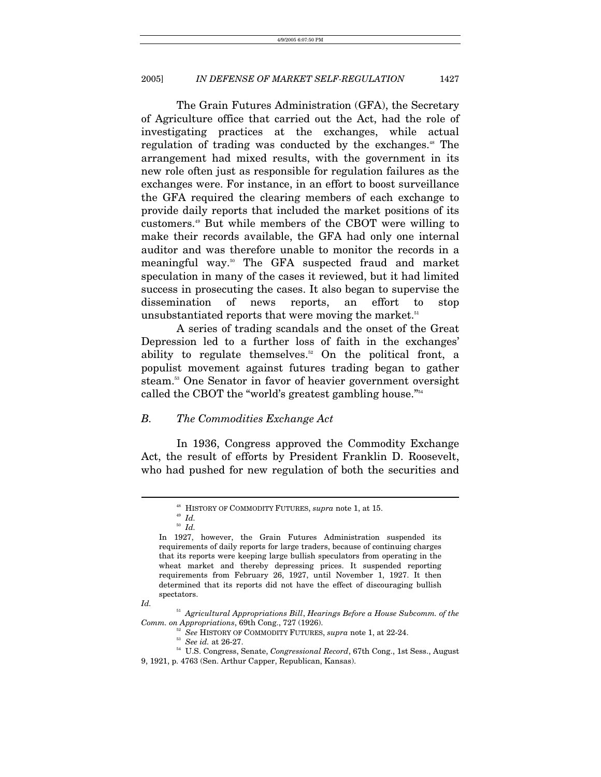The Grain Futures Administration (GFA), the Secretary of Agriculture office that carried out the Act, had the role of investigating practices at the exchanges, while actual regulation of trading was conducted by the exchanges.<sup>48</sup> The arrangement had mixed results, with the government in its new role often just as responsible for regulation failures as the exchanges were. For instance, in an effort to boost surveillance the GFA required the clearing members of each exchange to provide daily reports that included the market positions of its customers.[49](#page-9-1) But while members of the CBOT were willing to make their records available, the GFA had only one internal auditor and was therefore unable to monitor the records in a meaningful way[.50](#page-9-2) The GFA suspected fraud and market speculation in many of the cases it reviewed, but it had limited success in prosecuting the cases. It also began to supervise the dissemination of news reports, an effort to stop unsubstantiated reports that were moving the market.<sup>51</sup>

A series of trading scandals and the onset of the Great Depression led to a further loss of faith in the exchanges' ability to regulate themselves.<sup>52</sup> On the political front, a populist movement against futures trading began to gather steam.[53](#page-9-5) One Senator in favor of heavier government oversight called the CBOT the "world's greatest gambling house.["54](#page-9-6)

# *B. The Commodities Exchange Act*

In 1936, Congress approved the Commodity Exchange Act, the result of efforts by President Franklin D. Roosevelt, who had pushed for new regulation of both the securities and

*Id.* 

<span id="page-9-0"></span> $^{48}$  HISTORY OF COMMODITY FUTURES,  $supra$  note 1, at 15.  $^{49}$   $Id.$ 

<span id="page-9-1"></span>

<span id="page-9-2"></span><sup>50</sup> *Id.* 

In 1927, however, the Grain Futures Administration suspended its requirements of daily reports for large traders, because of continuing charges that its reports were keeping large bullish speculators from operating in the wheat market and thereby depressing prices. It suspended reporting requirements from February 26, 1927, until November 1, 1927. It then determined that its reports did not have the effect of discouraging bullish spectators.

<sup>51</sup> *Agricultural Appropriations Bill*, *Hearings Before a House Subcomm. of the*   $\begin{array}{lll} Comm.\ on \ {\it Approx\,} & \hbox{Approximations, 69th Cong., 727 (1926).} \\ & \hbox{${\rm Se}$} & \hbox{HISTORY OF COMMODITY FUTURES, \ {\it supra} \ {\it note}\ 1, \ {\it at}\ 22-24.} \\ & \hbox{${\rm Se}$} & \hbox{${\rm Ge}$ id. at}\ 26-27. \\ & \hbox{${\rm St}\ 5$} & \hbox{U.S. Congress, Senate,}\ {\it Congressional\ Record}, \ 67th Cong., \ 1st\ {\it Sess.}, \ {\it August} \end{array}$ 

<span id="page-9-4"></span><span id="page-9-3"></span>

<span id="page-9-6"></span><span id="page-9-5"></span>

<sup>9, 1921,</sup> p. 4763 (Sen. Arthur Capper, Republican, Kansas).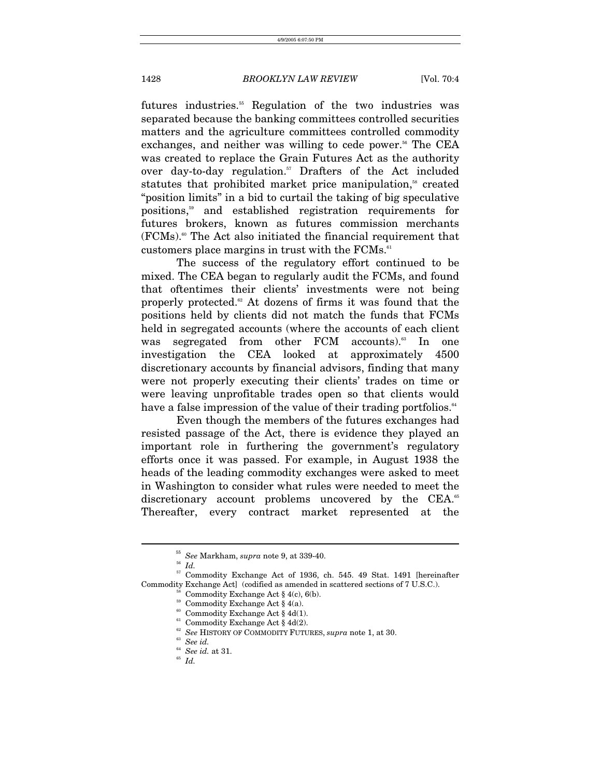futures industries.<sup>55</sup> Regulation of the two industries was separated because the banking committees controlled securities matters and the agriculture committees controlled commodity exchanges, and neither was willing to cede power.<sup>56</sup> The CEA was created to replace the Grain Futures Act as the authority over day-to-day regulation.<sup>57</sup> Drafters of the Act included statutes that prohibited market price manipulation,<sup>58</sup> created "position limits" in a bid to curtail the taking of big speculative positions[,59](#page-10-4) and established registration requirements for futures brokers, known as futures commission merchants  $(FCMs)$ .<sup>60</sup> The Act also initiated the financial requirement that customers place margins in trust with the  $FCMs$ .<sup>61</sup>

The success of the regulatory effort continued to be mixed. The CEA began to regularly audit the FCMs, and found that oftentimes their clients' investments were not being properly protected. $62$  At dozens of firms it was found that the positions held by clients did not match the funds that FCMs held in segregated accounts (where the accounts of each client was segregated from other FCM accounts).<sup>63</sup> In one investigation the CEA looked at approximately 4500 discretionary accounts by financial advisors, finding that many were not properly executing their clients' trades on time or were leaving unprofitable trades open so that clients would have a false impression of the value of their trading portfolios.<sup>64</sup>

Even though the members of the futures exchanges had resisted passage of the Act, there is evidence they played an important role in furthering the government's regulatory efforts once it was passed. For example, in August 1938 the heads of the leading commodity exchanges were asked to meet in Washington to consider what rules were needed to meet the discretionary account problems uncovered by the CEA.<sup>[65](#page-10-10)</sup> Thereafter, every contract market represented at the

<span id="page-10-0"></span><sup>55</sup> *See* Markham, *supra* note 9, at 339-40. 56 *Id.*

<span id="page-10-2"></span><span id="page-10-1"></span>

<sup>&</sup>lt;sup>57</sup> Commodity Exchange Act of 1936, ch. 545. 49 Stat. 1491 [hereinafter Commodity Exchange Act] (codified as amended in scattered sections of 7 U.S.C.).  $58$  Commodity Exchange Act § 4(c), 6(b).

<span id="page-10-3"></span>

<span id="page-10-4"></span> $^{59}$  Commodity Exchange Act § 4(a).

<span id="page-10-5"></span> $^{60}$  Commodity Exchange Act  $\S$  4d(1).

<span id="page-10-6"></span> $^{61}$  Commodity Exchange Act § 4d(2).

<span id="page-10-7"></span> $^{62}$  See HISTORY OF COMMODITY FUTURES, *supra* note 1, at 30. See id.

<span id="page-10-8"></span>

<span id="page-10-9"></span><sup>64</sup> *See id.* at 31. 65 *Id.*

<span id="page-10-10"></span>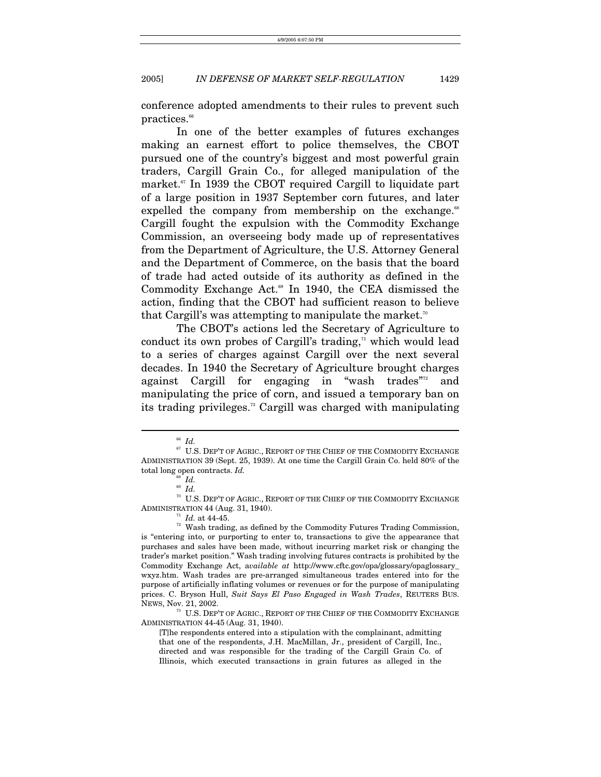conference adopted amendments to their rules to prevent such  $practices.<sup>66</sup>$ 

In one of the better examples of futures exchanges making an earnest effort to police themselves, the CBOT pursued one of the country's biggest and most powerful grain traders, Cargill Grain Co., for alleged manipulation of the market.<sup>67</sup> In 1939 the CBOT required Cargill to liquidate part of a large position in 1937 September corn futures, and later expelled the company from membership on the exchange.<sup>[68](#page-11-2)</sup> Cargill fought the expulsion with the Commodity Exchange Commission, an overseeing body made up of representatives from the Department of Agriculture, the U.S. Attorney General and the Department of Commerce, on the basis that the board of trade had acted outside of its authority as defined in the Commodity Exchange Act.<sup>69</sup> In 1940, the CEA dismissed the action, finding that the CBOT had sufficient reason to believe that Cargill's was attempting to manipulate the market.<sup>[70](#page-11-4)</sup>

The CBOT's actions led the Secretary of Agriculture to conduct its own probes of Cargill's trading, $\pi$  which would lead to a series of charges against Cargill over the next several decades. In 1940 the Secretary of Agriculture brought charges against Cargill for engaging in "wash trades"<sup>2</sup> and manipulating the price of corn, and issued a temporary ban on its trading privileges[.73](#page-11-7) Cargill was charged with manipulating

 $\overline{a}$ 

<span id="page-11-7"></span>[T]he respondents entered into a stipulation with the complainant, admitting that one of the respondents, J.H. MacMillan, Jr., president of Cargill, Inc., directed and was responsible for the trading of the Cargill Grain Co. of Illinois, which executed transactions in grain futures as alleged in the

<span id="page-11-1"></span><span id="page-11-0"></span>

 $^{66}$   $Id.$   $^{67}$  U.S. Dep't of Agric., Report of the Chief of the Commodity Exchange ADMINISTRATION 39 (Sept. 25, 1939). At one time the Cargill Grain Co. held 80% of the total long open contracts. *Id.* <sup>68</sup> *Id.* 

<span id="page-11-2"></span><sup>69</sup> *Id.*

<span id="page-11-4"></span><span id="page-11-3"></span>

 $^{\text{\tiny{\textregistered}}}$  U.S. DEP'T OF AGRIC., REPORT OF THE CHIEF OF THE COMMODITY EXCHANGE ADMINISTRATION 44 (Aug. 31, 1940).  $\frac{n}{l}$  *Id.* at 44-45. <sup>72</sup> Wash trading, as defined by the Commodity Futures Trading Commission,

<span id="page-11-6"></span><span id="page-11-5"></span>

is "entering into, or purporting to enter to, transactions to give the appearance that purchases and sales have been made, without incurring market risk or changing the trader's market position." Wash trading involving futures contracts is prohibited by the Commodity Exchange Act, a*vailable at* http://www.cftc.gov/opa/glossary/opaglossary\_ wxyz.htm. Wash trades are pre-arranged simultaneous trades entered into for the purpose of artificially inflating volumes or revenues or for the purpose of manipulating prices. C. Bryson Hull, *Suit Says El Paso Engaged in Wash Trades*, REUTERS BUS. NEWS, Nov. 21, 2002.<br><sup>73</sup> U.S. Dep't of Agric., Report of the Chief of the Commodity Exchange

ADMINISTRATION 44-45 (Aug. 31, 1940).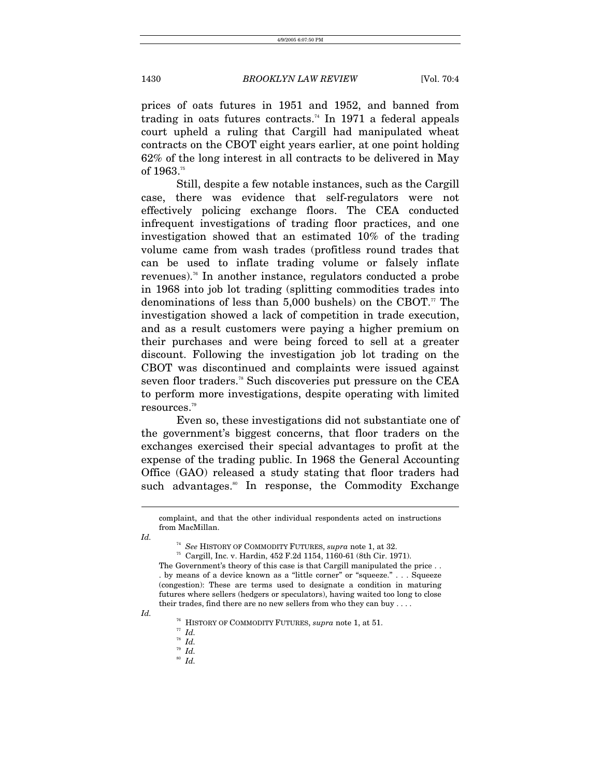prices of oats futures in 1951 and 1952, and banned from trading in oats futures contracts.<sup>74</sup> In 1971 a federal appeals court upheld a ruling that Cargill had manipulated wheat contracts on the CBOT eight years earlier, at one point holding 62% of the long interest in all contracts to be delivered in May of 1963.<sup>[75](#page-12-1)</sup>

Still, despite a few notable instances, such as the Cargill case, there was evidence that self-regulators were not effectively policing exchange floors. The CEA conducted infrequent investigations of trading floor practices, and one investigation showed that an estimated 10% of the trading volume came from wash trades (profitless round trades that can be used to inflate trading volume or falsely inflate revenues).[76](#page-12-2) In another instance, regulators conducted a probe in 1968 into job lot trading (splitting commodities trades into denominations of less than  $5,000$  bushels) on the CBOT.<sup>77</sup> The investigation showed a lack of competition in trade execution, and as a result customers were paying a higher premium on their purchases and were being forced to sell at a greater discount. Following the investigation job lot trading on the CBOT was discontinued and complaints were issued against seven floor traders.<sup>78</sup> Such discoveries put pressure on the CEA to perform more investigations, despite operating with limited resources[.79](#page-12-5)

Even so, these investigations did not substantiate one of the government's biggest concerns, that floor traders on the exchanges exercised their special advantages to profit at the expense of the trading public. In 1968 the General Accounting Office (GAO) released a study stating that floor traders had such advantages.<sup>80</sup> In response, the Commodity Exchange

*Id.*

 $\overline{a}$ 

<span id="page-12-1"></span>

*Id.* 

<span id="page-12-6"></span>

complaint, and that the other individual respondents acted on instructions from MacMillan.

<span id="page-12-0"></span> $^{74}$   $\,$  See HISTORY OF COMMODITY FUTURES,  $supra$  note 1, at 32.  $^{75}$  Cargill, Inc. v. Hardin, 452 F.2d 1154, 1160-61 (8th Cir. 1971).

The Government's theory of this case is that Cargill manipulated the price . . . by means of a device known as a "little corner" or "squeeze." . . . Squeeze (congestion): These are terms used to designate a condition in maturing futures where sellers (hedgers or speculators), having waited too long to close their trades, find there are no new sellers from who they can buy . . . .

<span id="page-12-2"></span><sup>&</sup>lt;sup>76</sup> HISTORY OF COMMODITY FUTURES, *supra* note 1, at 51. <sup>77</sup> *Id.* <sup>78</sup> *Id.* 80 *Id.* 80<sup>*Id.* 80</sub></sup>

<span id="page-12-3"></span>

<span id="page-12-4"></span>

<span id="page-12-5"></span>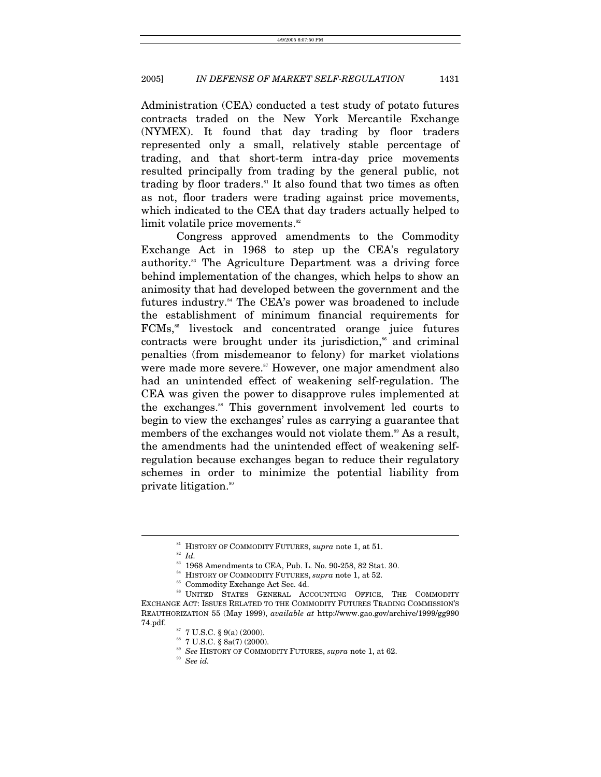Administration (CEA) conducted a test study of potato futures contracts traded on the New York Mercantile Exchange (NYMEX). It found that day trading by floor traders represented only a small, relatively stable percentage of trading, and that short-term intra-day price movements resulted principally from trading by the general public, not trading by floor traders. $81$  It also found that two times as often as not, floor traders were trading against price movements, which indicated to the CEA that day traders actually helped to limit volatile price movements.<sup>[82](#page-13-1)</sup>

Congress approved amendments to the Commodity Exchange Act in 1968 to step up the CEA's regulatory authority.[83](#page-13-2) The Agriculture Department was a driving force behind implementation of the changes, which helps to show an animosity that had developed between the government and the futures industry.<sup>84</sup> The CEA's power was broadened to include the establishment of minimum financial requirements for FCMs,<sup>85</sup> livestock and concentrated orange juice futures contracts were brought under its jurisdiction,<sup>86</sup> and criminal penalties (from misdemeanor to felony) for market violations were made more severe.<sup>87</sup> However, one major amendment also had an unintended effect of weakening self-regulation. The CEA was given the power to disapprove rules implemented at the exchanges[.88](#page-13-7) This government involvement led courts to begin to view the exchanges' rules as carrying a guarantee that members of the exchanges would not violate them.<sup>89</sup> As a result, the amendments had the unintended effect of weakening selfregulation because exchanges began to reduce their regulatory schemes in order to minimize the potential liability from private litigation.<sup>90</sup>

<span id="page-13-0"></span><sup>&</sup>lt;sup>81</sup> HISTORY OF COMMODITY FUTURES,  $supra$  note 1, at 51.<br><sup>82</sup> *Id.* 83 Amendments to CEA, Pub. L. No. 90-258, 82 Stat. 30.

<span id="page-13-1"></span>

<span id="page-13-2"></span>

<span id="page-13-3"></span> $^{84}$  HISTORY OF COMMODITY FUTURES, *supra* note 1, at 52. Commodity Exchange Act Sec. 4d.

<span id="page-13-5"></span><span id="page-13-4"></span>

<sup>86</sup> UNITED STATES GENERAL ACCOUNTING OFFICE, THE COMMODITY EXCHANGE ACT: ISSUES RELATED TO THE COMMODITY FUTURES TRADING COMMISSION'S REAUTHORIZATION 55 (May 1999), *available at* http://www.gao.gov/archive/1999/gg990 74.pdf.  $$\rm ^{\text{87}}$  7 U.S.C. § 9(a) (2000).

<span id="page-13-6"></span>

<span id="page-13-7"></span> $^{88}$  7 U.S.C.  $\S$  8a(7) (2000).

<span id="page-13-8"></span><sup>89</sup> *See* HISTORY OF COMMODITY FUTURES, *supra* note 1, at 62. 90 *See id.*

<span id="page-13-9"></span>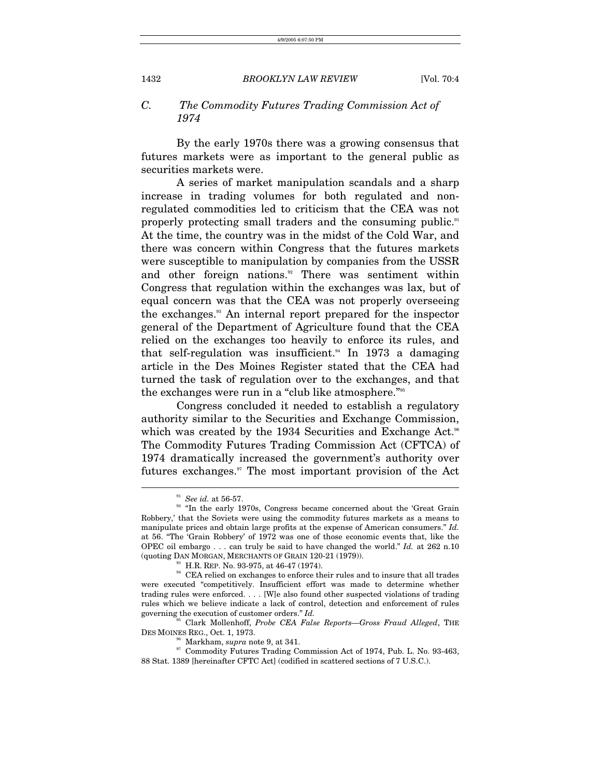# *C. The Commodity Futures Trading Commission Act of 1974*

By the early 1970s there was a growing consensus that futures markets were as important to the general public as securities markets were.

A series of market manipulation scandals and a sharp increase in trading volumes for both regulated and nonregulated commodities led to criticism that the CEA was not properly protecting small traders and the consuming public.<sup>[91](#page-14-0)</sup> At the time, the country was in the midst of the Cold War, and there was concern within Congress that the futures markets were susceptible to manipulation by companies from the USSR and other foreign nations.<sup>92</sup> There was sentiment within Congress that regulation within the exchanges was lax, but of equal concern was that the CEA was not properly overseeing the exchanges.[93](#page-14-2) An internal report prepared for the inspector general of the Department of Agriculture found that the CEA relied on the exchanges too heavily to enforce its rules, and that self-regulation was insufficient.<sup>94</sup> In 1973 a damaging article in the Des Moines Register stated that the CEA had turned the task of regulation over to the exchanges, and that the exchanges were run in a "club like atmosphere."[95](#page-14-4)

Congress concluded it needed to establish a regulatory authority similar to the Securities and Exchange Commission, which was created by the 1934 Securities and Exchange Act.<sup>[96](#page-14-5)</sup> The Commodity Futures Trading Commission Act (CFTCA) of 1974 dramatically increased the government's authority over futures exchanges.<sup>97</sup> The most important provision of the Act

 $\overline{a}$ 

95 Clark Mollenhoff, *Probe CEA False Reports—Gross Fraud Alleged*, THE DES MOINES REG., Oct. 1, 1973.<br><sup>96</sup> Markham, *supra* note 9, at 341.<br><sup>97</sup> Commodity Futures Trading Commission Act of 1974, Pub. L. No. 93-463,

<span id="page-14-6"></span><span id="page-14-5"></span><span id="page-14-4"></span>

<span id="page-14-1"></span><span id="page-14-0"></span>

<sup>&</sup>lt;sup>91</sup> *See id.* at 56-57.<br><sup>92</sup> "In the early 1970s, Congress became concerned about the 'Great Grain Robbery,' that the Soviets were using the commodity futures markets as a means to manipulate prices and obtain large profits at the expense of American consumers." *Id.* at 56. "The 'Grain Robbery' of 1972 was one of those economic events that, like the OPEC oil embargo . . . can truly be said to have changed the world." *Id.* at 262 n.10 (quoting DAN MORGAN, MERCHANTS OF GRAIN 120-21 (1979)).

<span id="page-14-3"></span><span id="page-14-2"></span>

 $\,^\mathrm{93}$  H.R. REP. No. 93-975, at 46-47 (1974).  $\,^\mathrm{94}$  CEA relied on exchanges to enforce their rules and to insure that all trades were executed "competitively. Insufficient effort was made to determine whether trading rules were enforced. . . . [W]e also found other suspected violations of trading rules which we believe indicate a lack of control, detection and enforcement of rules governing the execution of customer orders." *Id.* 

<sup>88</sup> Stat. 1389 [hereinafter CFTC Act] (codified in scattered sections of 7 U.S.C.).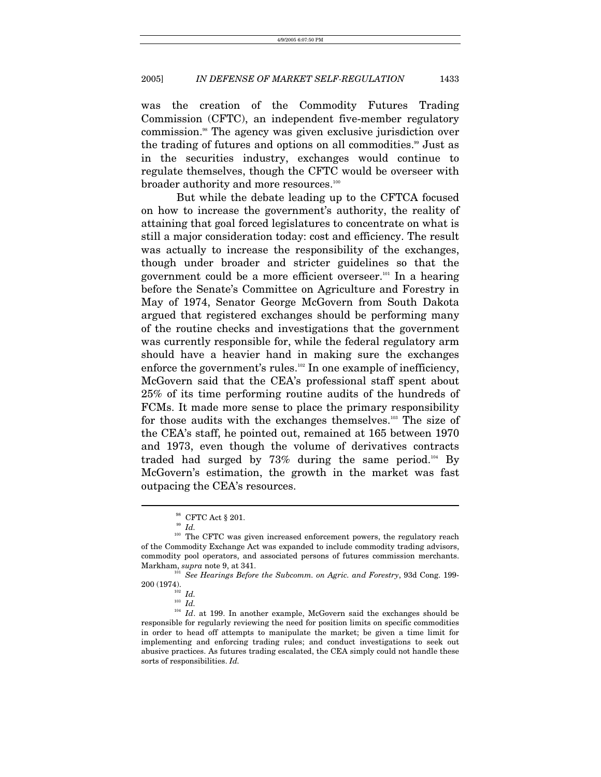was the creation of the Commodity Futures Trading Commission (CFTC), an independent five-member regulatory commission[.98](#page-15-0) The agency was given exclusive jurisdiction over the trading of futures and options on all commodities.<sup>99</sup> Just as in the securities industry, exchanges would continue to regulate themselves, though the CFTC would be overseer with broader authority and more resources.<sup>100</sup>

But while the debate leading up to the CFTCA focused on how to increase the government's authority, the reality of attaining that goal forced legislatures to concentrate on what is still a major consideration today: cost and efficiency. The result was actually to increase the responsibility of the exchanges, though under broader and stricter guidelines so that the government could be a more efficient overseer.<sup>101</sup> In a hearing before the Senate's Committee on Agriculture and Forestry in May of 1974, Senator George McGovern from South Dakota argued that registered exchanges should be performing many of the routine checks and investigations that the government was currently responsible for, while the federal regulatory arm should have a heavier hand in making sure the exchanges enforce the government's rules.<sup>102</sup> In one example of inefficiency, McGovern said that the CEA's professional staff spent about 25% of its time performing routine audits of the hundreds of FCMs. It made more sense to place the primary responsibility for those audits with the exchanges themselves.<sup>103</sup> The size of the CEA's staff, he pointed out, remained at 165 between 1970 and 1973, even though the volume of derivatives contracts traded had surged by  $73\%$  during the same period.<sup>104</sup> By McGovern's estimation, the growth in the market was fast outpacing the CEA's resources.

<span id="page-15-0"></span> $^{98}$  CFTC Act  $\S$  201.

<span id="page-15-2"></span><span id="page-15-1"></span><sup>99</sup> *Id.*

<sup>&</sup>lt;sup>100</sup> The CFTC was given increased enforcement powers, the regulatory reach of the Commodity Exchange Act was expanded to include commodity trading advisors, commodity pool operators, and associated persons of futures commission merchants.

Markham, *supra* note 9, at 341.<br><sup>101</sup> See *Hearings Before the Subcomm. on Agric. and Forestry*, 93d Cong. 199-<br>200 (1974).

<span id="page-15-3"></span>

<span id="page-15-6"></span><span id="page-15-5"></span><span id="page-15-4"></span>

<sup>&</sup>lt;sup>102</sup> *Id.*<br><sup>103</sup> *Id.*<br><sup>104</sup> *Id.* at 199. In another example, McGovern said the exchanges should be responsible for regularly reviewing the need for position limits on specific commodities in order to head off attempts to manipulate the market; be given a time limit for implementing and enforcing trading rules; and conduct investigations to seek out abusive practices. As futures trading escalated, the CEA simply could not handle these sorts of responsibilities. *Id.*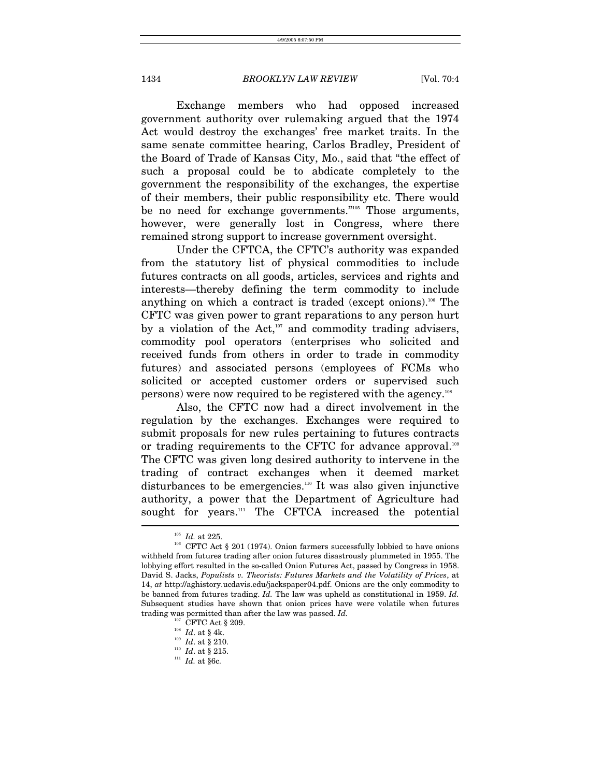Exchange members who had opposed increased government authority over rulemaking argued that the 1974 Act would destroy the exchanges' free market traits. In the same senate committee hearing, Carlos Bradley, President of the Board of Trade of Kansas City, Mo., said that "the effect of such a proposal could be to abdicate completely to the government the responsibility of the exchanges, the expertise of their members, their public responsibility etc. There would be no need for exchange governments."<sup>105</sup> Those arguments, however, were generally lost in Congress, where there remained strong support to increase government oversight.

Under the CFTCA, the CFTC's authority was expanded from the statutory list of physical commodities to include futures contracts on all goods, articles, services and rights and interests—thereby defining the term commodity to include anything on which a contract is traded (except onions).<sup>106</sup> The CFTC was given power to grant reparations to any person hurt by a violation of the Act, $107$  and commodity trading advisers, commodity pool operators (enterprises who solicited and received funds from others in order to trade in commodity futures) and associated persons (employees of FCMs who solicited or accepted customer orders or supervised such persons) were now required to be registered with the agency[.108](#page-16-3)

Also, the CFTC now had a direct involvement in the regulation by the exchanges. Exchanges were required to submit proposals for new rules pertaining to futures contracts or trading requirements to the CFTC for advance approval.<sup>109</sup> The CFTC was given long desired authority to intervene in the trading of contract exchanges when it deemed market disturbances to be emergencies[.110](#page-16-5) It was also given injunctive authority, a power that the Department of Agriculture had sought for years.<sup>111</sup> The CFTCA increased the potential

<span id="page-16-1"></span><span id="page-16-0"></span>

<sup>&</sup>lt;sup>105</sup> Id. at 225.<br><sup>106</sup> CFTC Act § 201 (1974). Onion farmers successfully lobbied to have onions withheld from futures trading after onion futures disastrously plummeted in 1955. The lobbying effort resulted in the so-called Onion Futures Act, passed by Congress in 1958. David S. Jacks, *Populists v. Theorists: Futures Markets and the Volatility of Prices*, at 14, *at* http://aghistory.ucdavis.edu/jackspaper04.pdf. Onions are the only commodity to be banned from futures trading. *Id.* The law was upheld as constitutional in 1959. *Id.* Subsequent studies have shown that onion prices have were volatile when futures trading was permitted than after the law was passed. *Id.* <sup>107</sup> CFTC Act § 209.<br><sup>108</sup> *Id.* at § 4k. <sup>109</sup> *Id.* at § 210. <sup>110</sup> *Id.* at § 215. <sup>111</sup> *Id.* at §6c.

<span id="page-16-2"></span>

<span id="page-16-3"></span>

<span id="page-16-4"></span>

<span id="page-16-5"></span>

<span id="page-16-6"></span>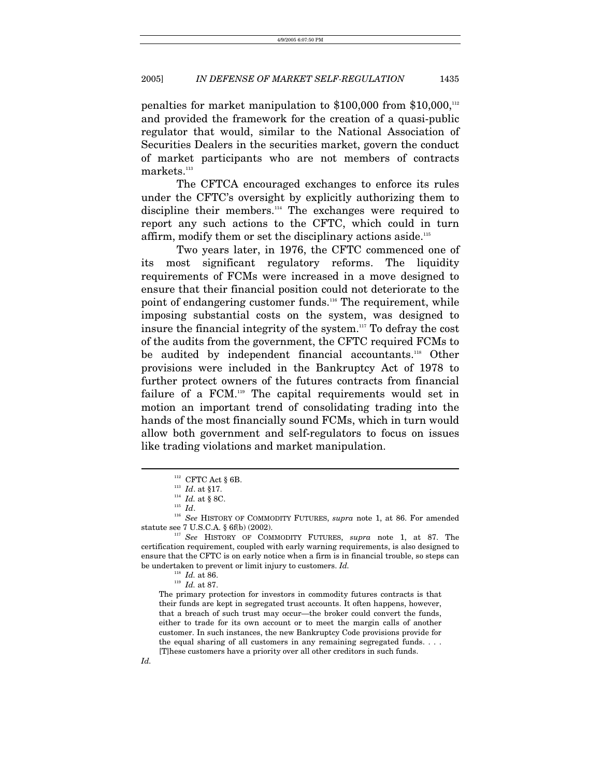penalties for market manipulation to \$100,000 from \$10,000,<sup>112</sup> and provided the framework for the creation of a quasi-public regulator that would, similar to the National Association of Securities Dealers in the securities market, govern the conduct of market participants who are not members of contracts  $\rm{marks.}^{113}$ 

The CFTCA encouraged exchanges to enforce its rules under the CFTC's oversight by explicitly authorizing them to discipline their members.[114](#page-17-2) The exchanges were required to report any such actions to the CFTC, which could in turn affirm, modify them or set the disciplinary actions aside[.115](#page-17-3)

Two years later, in 1976, the CFTC commenced one of its most significant regulatory reforms. The liquidity requirements of FCMs were increased in a move designed to ensure that their financial position could not deteriorate to the point of endangering customer funds.<sup>116</sup> The requirement, while imposing substantial costs on the system, was designed to insure the financial integrity of the system.[117](#page-17-5) To defray the cost of the audits from the government, the CFTC required FCMs to be audited by independent financial accountants.<sup>118</sup> Other provisions were included in the Bankruptcy Act of 1978 to further protect owners of the futures contracts from financial failure of a FCM.[119](#page-17-7) The capital requirements would set in motion an important trend of consolidating trading into the hands of the most financially sound FCMs, which in turn would allow both government and self-regulators to focus on issues like trading violations and market manipulation.

The primary protection for investors in commodity futures contracts is that their funds are kept in segregated trust accounts. It often happens, however, that a breach of such trust may occur—the broker could convert the funds, either to trade for its own account or to meet the margin calls of another customer. In such instances, the new Bankruptcy Code provisions provide for the equal sharing of all customers in any remaining segregated funds. . . . [T]hese customers have a priority over all other creditors in such funds.

<span id="page-17-0"></span>

<span id="page-17-1"></span>

<span id="page-17-2"></span>

<span id="page-17-5"></span><span id="page-17-4"></span><span id="page-17-3"></span>

<sup>112</sup> CFTC Act § 6B.<br>
<sup>113</sup> *Id.* at § 17.<br>
<sup>114</sup> *Id.* at § 8C.<br>
<sup>115</sup> *See* HISTORY OF COMMODITY FUTURES, *supra* note 1, at 86. For amended statute see 7 U.S.C.A. § 6f(b) (2002). 117 *See* HISTORY OF COMMODITY FUTURES, *supra* note 1, at 87. The

certification requirement, coupled with early warning requirements, is also designed to ensure that the CFTC is on early notice when a firm is in financial trouble, so steps can be undertaken to prevent or limit injury to customers. *Id.*

<span id="page-17-7"></span><span id="page-17-6"></span><sup>118</sup> *Id.* at 86. 119 *Id.* at 87.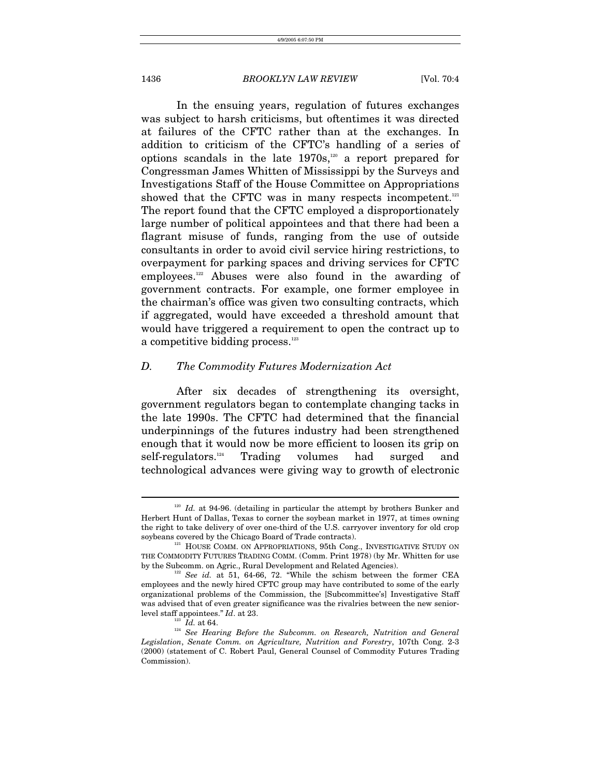In the ensuing years, regulation of futures exchanges was subject to harsh criticisms, but oftentimes it was directed at failures of the CFTC rather than at the exchanges. In addition to criticism of the CFTC's handling of a series of options scandals in the late  $1970s$ ,<sup>120</sup> a report prepared for Congressman James Whitten of Mississippi by the Surveys and Investigations Staff of the House Committee on Appropriations showed that the CFTC was in many respects incompetent. $121$ The report found that the CFTC employed a disproportionately large number of political appointees and that there had been a flagrant misuse of funds, ranging from the use of outside consultants in order to avoid civil service hiring restrictions, to overpayment for parking spaces and driving services for CFTC employees.[122](#page-18-2) Abuses were also found in the awarding of government contracts. For example, one former employee in the chairman's office was given two consulting contracts, which if aggregated, would have exceeded a threshold amount that would have triggered a requirement to open the contract up to a competitive bidding process.<sup>[123](#page-18-3)</sup>

# *D. The Commodity Futures Modernization Act*

After six decades of strengthening its oversight, government regulators began to contemplate changing tacks in the late 1990s. The CFTC had determined that the financial underpinnings of the futures industry had been strengthened enough that it would now be more efficient to loosen its grip on self-regulators.[124](#page-18-4) Trading volumes had surged and technological advances were giving way to growth of electronic

<span id="page-18-0"></span><sup>&</sup>lt;sup>120</sup> Id. at 94-96. (detailing in particular the attempt by brothers Bunker and Herbert Hunt of Dallas, Texas to corner the soybean market in 1977, at times owning the right to take delivery of over one-third of the U.S. carryover inventory for old crop soybeans covered by the Chicago Board of Trade contracts).<br><sup>121</sup> HOUSE COMM. ON APPROPRIATIONS, 95th Cong., INVESTIGATIVE STUDY ON

<span id="page-18-1"></span>THE COMMODITY FUTURES TRADING COMM. (Comm. Print 1978) (by Mr. Whitten for use by the Subcomm. on Agric., Rural Development and Related Agencies).

<span id="page-18-2"></span> $h^{122}$  See id. at 51, 64-66, 72. "While the schism between the former CEA employees and the newly hired CFTC group may have contributed to some of the early organizational problems of the Commission, the [Subcommittee's] Investigative Staff was advised that of even greater significance was the rivalries between the new senior-

<span id="page-18-4"></span><span id="page-18-3"></span>

level staff appointees." *Id.* at 23. 123<br><sup>123</sup> *Id.* at 64. <sup>124</sup> See Hearing Before the Subcomm. on Research, Nutrition and General *Legislation*, *Senate Comm. on Agriculture, Nutrition and Forestry*, 107th Cong. 2-3 (2000) (statement of C. Robert Paul, General Counsel of Commodity Futures Trading Commission).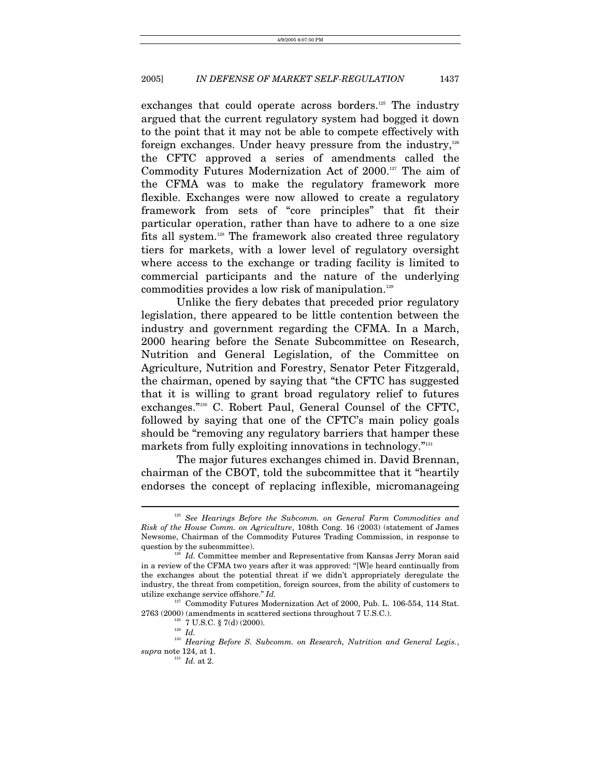exchanges that could operate across borders.<sup>125</sup> The industry argued that the current regulatory system had bogged it down to the point that it may not be able to compete effectively with foreign exchanges. Under heavy pressure from the industry, $126$ the CFTC approved a series of amendments called the Commodity Futures Modernization Act of 2000.[127](#page-19-2) The aim of the CFMA was to make the regulatory framework more flexible. Exchanges were now allowed to create a regulatory framework from sets of "core principles" that fit their particular operation, rather than have to adhere to a one size fits all system[.128](#page-19-3) The framework also created three regulatory tiers for markets, with a lower level of regulatory oversight where access to the exchange or trading facility is limited to commercial participants and the nature of the underlying commodities provides a low risk of manipulation. $129$ 

Unlike the fiery debates that preceded prior regulatory legislation, there appeared to be little contention between the industry and government regarding the CFMA. In a March, 2000 hearing before the Senate Subcommittee on Research, Nutrition and General Legislation, of the Committee on Agriculture, Nutrition and Forestry, Senator Peter Fitzgerald, the chairman, opened by saying that "the CFTC has suggested that it is willing to grant broad regulatory relief to futures exchanges."[130](#page-19-5) C. Robert Paul, General Counsel of the CFTC, followed by saying that one of the CFTC's main policy goals should be "removing any regulatory barriers that hamper these markets from fully exploiting innovations in technology."<sup>131</sup>

The major futures exchanges chimed in. David Brennan, chairman of the CBOT, told the subcommittee that it "heartily endorses the concept of replacing inflexible, micromanageing

<span id="page-19-0"></span><sup>125</sup> *See Hearings Before the Subcomm. on General Farm Commodities and Risk of the House Comm. on Agriculture*, 108th Cong. 16 (2003) (statement of James Newsome, Chairman of the Commodity Futures Trading Commission, in response to

<span id="page-19-1"></span><sup>&</sup>lt;sup>126</sup> Id. Committee member and Representative from Kansas Jerry Moran said in a review of the CFMA two years after it was approved: "[W]e heard continually from the exchanges about the potential threat if we didn't appropriately deregulate the industry, the threat from competition, foreign sources, from the ability of customers to utilize exchange service offshore." *Id.*

 $127$  Commodity Futures Modernization Act of 2000, Pub. L. 106-554, 114 Stat.<br>2763 (2000) (amendments in scattered sections throughout 7 U.S.C.).

<span id="page-19-3"></span><span id="page-19-2"></span>

<span id="page-19-5"></span><span id="page-19-4"></span>

<sup>&</sup>lt;sup>128</sup> 7 U.S.C. § 7(d) (2000).<br><sup>129</sup> *Id.* Hearing Before S. Subcomm. on Research, Nutrition and General Legis., *supra* note 124, at 1.<br><sup>131</sup> *Id.* at 2.

<span id="page-19-6"></span>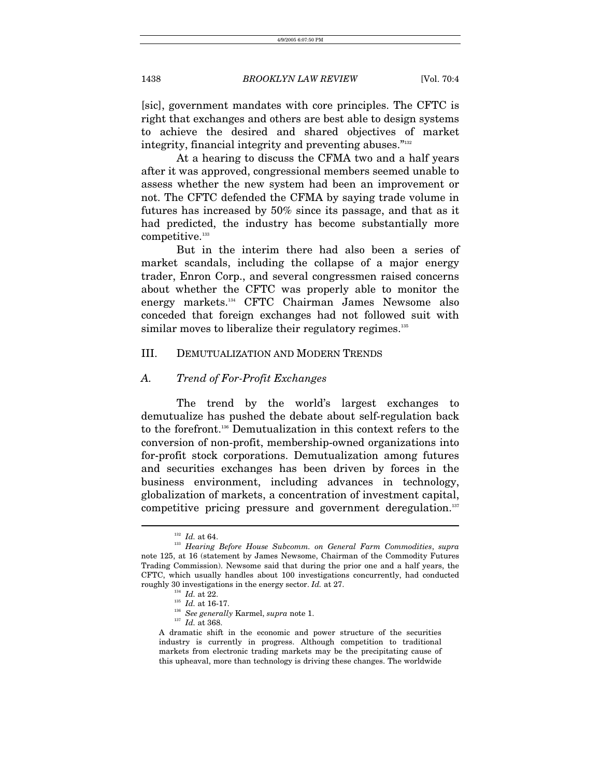[sic], government mandates with core principles. The CFTC is right that exchanges and others are best able to design systems to achieve the desired and shared objectives of market integrity, financial integrity and preventing abuses."<sup>132</sup>

At a hearing to discuss the CFMA two and a half years after it was approved, congressional members seemed unable to assess whether the new system had been an improvement or not. The CFTC defended the CFMA by saying trade volume in futures has increased by 50% since its passage, and that as it had predicted, the industry has become substantially more  $\hbox{competitive.}^{\hbox{\tiny\rm 133}}$  $\hbox{competitive.}^{\hbox{\tiny\rm 133}}$  $\hbox{competitive.}^{\hbox{\tiny\rm 133}}$ 

But in the interim there had also been a series of market scandals, including the collapse of a major energy trader, Enron Corp., and several congressmen raised concerns about whether the CFTC was properly able to monitor the energy markets.[134](#page-20-2) CFTC Chairman James Newsome also conceded that foreign exchanges had not followed suit with similar moves to liberalize their regulatory regimes.<sup>[135](#page-20-3)</sup>

#### III. DEMUTUALIZATION AND MODERN TRENDS

#### *A. Trend of For-Profit Exchanges*

The trend by the world's largest exchanges to demutualize has pushed the debate about self-regulation back to the forefront[.136](#page-20-4) Demutualization in this context refers to the conversion of non-profit, membership-owned organizations into for-profit stock corporations. Demutualization among futures and securities exchanges has been driven by forces in the business environment, including advances in technology, globalization of markets, a concentration of investment capital, competitive pricing pressure and government deregulation.<sup>137</sup>

<span id="page-20-1"></span><span id="page-20-0"></span>

<sup>132</sup> *Id.* at 64. 133 *Hearing Before House Subcomm. on General Farm Commodities*, *supra* note 125, at 16 (statement by James Newsome, Chairman of the Commodity Futures Trading Commission). Newsome said that during the prior one and a half years, the CFTC, which usually handles about 100 investigations concurrently, had conducted roughly 30 investigations in the energy sector. *Id.* at 27.<br><sup>134</sup> *Id.* at 16-17.<br><sup>136</sup> See generally Karmel, *supra* note 1.<br><sup>137</sup> *Id.* at 368.

<span id="page-20-2"></span>

<span id="page-20-3"></span>

<span id="page-20-4"></span>

<span id="page-20-5"></span>

A dramatic shift in the economic and power structure of the securities industry is currently in progress. Although competition to traditional markets from electronic trading markets may be the precipitating cause of this upheaval, more than technology is driving these changes. The worldwide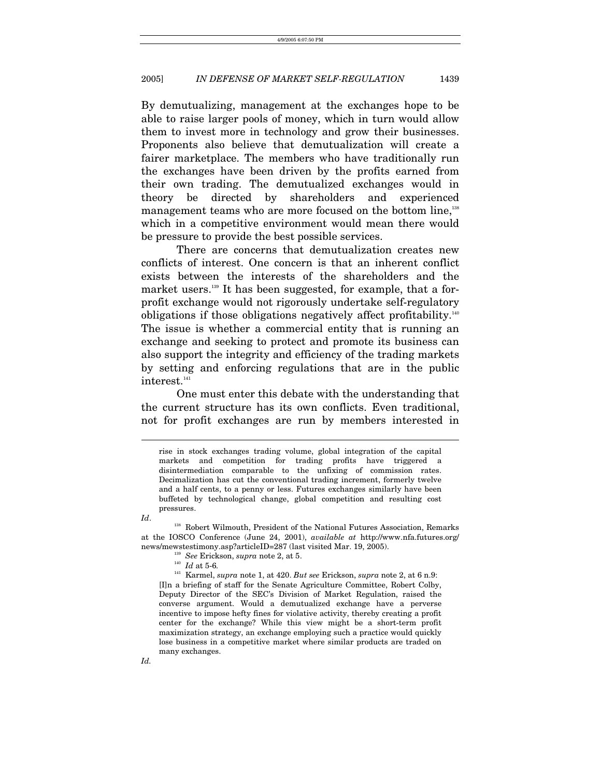By demutualizing, management at the exchanges hope to be able to raise larger pools of money, which in turn would allow them to invest more in technology and grow their businesses. Proponents also believe that demutualization will create a fairer marketplace. The members who have traditionally run the exchanges have been driven by the profits earned from their own trading. The demutualized exchanges would in theory be directed by shareholders and experienced management teams who are more focused on the bottom line,<sup>138</sup> which in a competitive environment would mean there would be pressure to provide the best possible services.

There are concerns that demutualization creates new conflicts of interest. One concern is that an inherent conflict exists between the interests of the shareholders and the market users.<sup>139</sup> It has been suggested, for example, that a forprofit exchange would not rigorously undertake self-regulatory obligations if those obligations negatively affect profitability[.140](#page-21-2) The issue is whether a commercial entity that is running an exchange and seeking to protect and promote its business can also support the integrity and efficiency of the trading markets by setting and enforcing regulations that are in the public interest.<sup>[141](#page-21-3)</sup>

One must enter this debate with the understanding that the current structure has its own conflicts. Even traditional, not for profit exchanges are run by members interested in

 $\overline{a}$ 

*Id*. <sup>138</sup> Robert Wilmouth, President of the National Futures Association, Remarks at the IOSCO Conference (June 24, 2001), *available at* http://www.nfa.futures.org/

- <span id="page-21-1"></span><span id="page-21-0"></span>
- <span id="page-21-3"></span><span id="page-21-2"></span>

news/mewstestimony.asp?articleID=287 (last visited Mar. 19, 2005).<br>
<sup>139</sup> See Erickson, *supra* note 2, at 5.<br>
<sup>140</sup> Id at 5-6.<br>
<sup>141</sup> Karmel, *supra* note 1, at 420. But see Erickson, *supra* note 2, at 6 n.9: [I]n a briefing of staff for the Senate Agriculture Committee, Robert Colby, Deputy Director of the SEC's Division of Market Regulation, raised the converse argument. Would a demutualized exchange have a perverse incentive to impose hefty fines for violative activity, thereby creating a profit center for the exchange? While this view might be a short-term profit maximization strategy, an exchange employing such a practice would quickly lose business in a competitive market where similar products are traded on many exchanges.

rise in stock exchanges trading volume, global integration of the capital markets and competition for trading profits have triggered a disintermediation comparable to the unfixing of commission rates. Decimalization has cut the conventional trading increment, formerly twelve and a half cents, to a penny or less. Futures exchanges similarly have been buffeted by technological change, global competition and resulting cost pressures.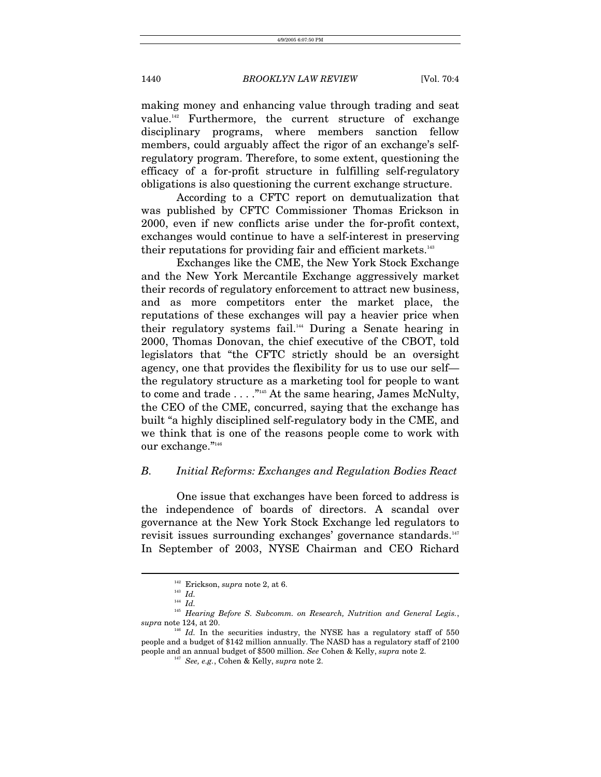making money and enhancing value through trading and seat value.[142](#page-22-0) Furthermore, the current structure of exchange disciplinary programs, where members sanction fellow members, could arguably affect the rigor of an exchange's selfregulatory program. Therefore, to some extent, questioning the efficacy of a for-profit structure in fulfilling self-regulatory obligations is also questioning the current exchange structure.

According to a CFTC report on demutualization that was published by CFTC Commissioner Thomas Erickson in 2000, even if new conflicts arise under the for-profit context, exchanges would continue to have a self-interest in preserving their reputations for providing fair and efficient markets.<sup>143</sup>

Exchanges like the CME, the New York Stock Exchange and the New York Mercantile Exchange aggressively market their records of regulatory enforcement to attract new business, and as more competitors enter the market place, the reputations of these exchanges will pay a heavier price when their regulatory systems fail.<sup>144</sup> During a Senate hearing in 2000, Thomas Donovan, the chief executive of the CBOT, told legislators that "the CFTC strictly should be an oversight agency, one that provides the flexibility for us to use our self the regulatory structure as a marketing tool for people to want to come and trade . . . .["145](#page-22-3) At the same hearing, James McNulty, the CEO of the CME, concurred, saying that the exchange has built "a highly disciplined self-regulatory body in the CME, and we think that is one of the reasons people come to work with our exchange."[146](#page-22-4)

### *B. Initial Reforms: Exchanges and Regulation Bodies React*

One issue that exchanges have been forced to address is the independence of boards of directors. A scandal over governance at the New York Stock Exchange led regulators to revisit issues surrounding exchanges' governance standards.<sup>147</sup> In September of 2003, NYSE Chairman and CEO Richard

<span id="page-22-0"></span> $\frac{142}{143}$  Erickson, *supra* note 2, at 6.

<span id="page-22-1"></span>

<span id="page-22-3"></span><span id="page-22-2"></span> $^{144}$  *Id.* 

 $^\mathrm{145}$  Hearing Before S. Subcomm. on Research, Nutrition and General Legis., supra note 124, at 20.

 $146$  *Id.* In the securities industry, the NYSE has a regulatory staff of 550 people and a budget of \$142 million annually. The NASD has a regulatory staff of 2100 people and an annual budget of \$500 million. *See* Cohen & Kelly, *supra* note 2.

<span id="page-22-5"></span><span id="page-22-4"></span><sup>147</sup> *See, e.g.*, Cohen & Kelly, *supra* note 2.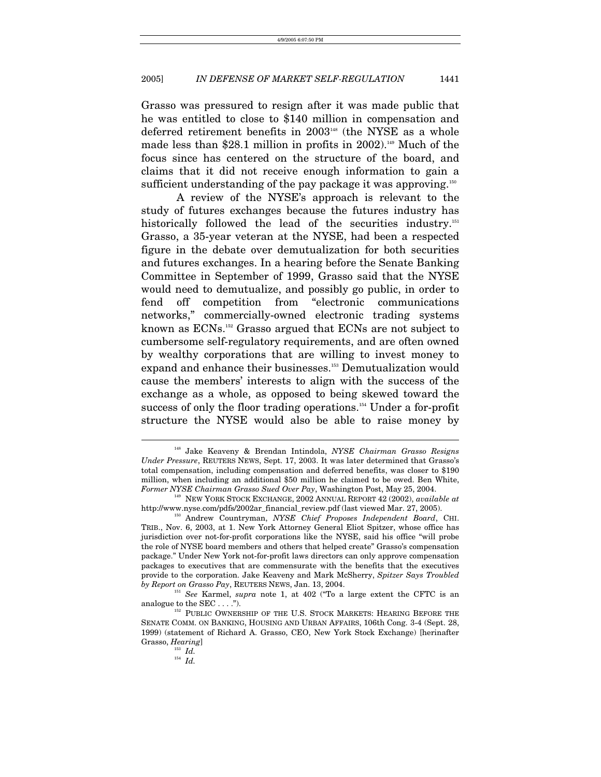Grasso was pressured to resign after it was made public that he was entitled to close to \$140 million in compensation and deferred retirement benefits in 2003<sup>148</sup> (the NYSE as a whole made less than \$28.1 million in profits in 2002).<sup>149</sup> Much of the focus since has centered on the structure of the board, and claims that it did not receive enough information to gain a sufficient understanding of the pay package it was approving.<sup>[150](#page-23-2)</sup>

A review of the NYSE's approach is relevant to the study of futures exchanges because the futures industry has historically followed the lead of the securities industry.<sup>151</sup> Grasso, a 35-year veteran at the NYSE, had been a respected figure in the debate over demutualization for both securities and futures exchanges. In a hearing before the Senate Banking Committee in September of 1999, Grasso said that the NYSE would need to demutualize, and possibly go public, in order to fend off competition from "electronic communications networks," commercially-owned electronic trading systems known as ECNs.[152](#page-23-4) Grasso argued that ECNs are not subject to cumbersome self-regulatory requirements, and are often owned by wealthy corporations that are willing to invest money to expand and enhance their businesses.<sup>153</sup> Demutualization would cause the members' interests to align with the success of the exchange as a whole, as opposed to being skewed toward the success of only the floor trading operations.<sup>154</sup> Under a for-profit structure the NYSE would also be able to raise money by

<span id="page-23-0"></span><sup>148</sup> Jake Keaveny & Brendan Intindola, *NYSE Chairman Grasso Resigns Under Pressure*, REUTERS NEWS, Sept. 17, 2003. It was later determined that Grasso's total compensation, including compensation and deferred benefits, was closer to \$190 million, when including an additional \$50 million he claimed to be owed. Ben White, *Former NYSE Chairman Grasso Sued Over Pay*, Washington Post, May 25, 2004. 149 NEW YORK STOCK EXCHANGE, <sup>2002</sup> ANNUAL REPORT 42 (2002), *available at*

<span id="page-23-1"></span>[http://www.nyse.com/pdfs/2002ar\\_financial\\_review.pdf](http://www.nyse.com/pdfs/2002ar_financial_review.pdf) (last viewed Mar. 27, 2005).<br><sup>150</sup> Andrew Countryman, *NYSE Chief Proposes Independent Board*, CHI.

<span id="page-23-2"></span>TRIB., Nov. 6, 2003, at 1. New York Attorney General Eliot Spitzer, whose office has jurisdiction over not-for-profit corporations like the NYSE, said his office "will probe the role of NYSE board members and others that helped create" Grasso's compensation package." Under New York not-for-profit laws directors can only approve compensation packages to executives that are commensurate with the benefits that the executives provide to the corporation. Jake Keaveny and Mark McSherry, *Spitzer Says Troubled* 

<span id="page-23-3"></span>*by Report on Grasso Pay*, REUTERS NEWS, Jan. 13, 2004.<br><sup>151</sup> *See* Karmel, *supra* note 1, at 402 ("To a large extent the CFTC is an analogue to the SEC . . . .").

<span id="page-23-4"></span> $^{152}$  PUBLIC OWNERSHIP OF THE U.S. STOCK MARKETS: HEARING BEFORE THE SENATE COMM. ON BANKING, HOUSING AND URBAN AFFAIRS, 106th Cong. 3-4 (Sept. 28, 1999) (statement of Richard A. Grasso, CEO, New York Stock Exchange) [herinafter Grasso, *Hearing*]<br> $Id.$ 

<span id="page-23-5"></span>

<span id="page-23-6"></span><sup>154</sup> *Id.*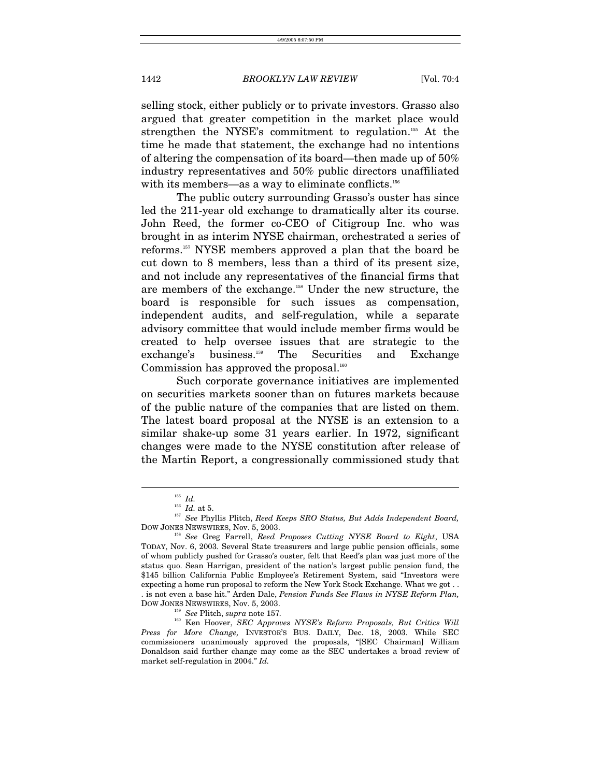selling stock, either publicly or to private investors. Grasso also argued that greater competition in the market place would strengthen the NYSE's commitment to regulation[.155](#page-24-0) At the time he made that statement, the exchange had no intentions of altering the compensation of its board—then made up of 50% industry representatives and 50% public directors unaffiliated with its members—as a way to eliminate conflicts.<sup>156</sup>

The public outcry surrounding Grasso's ouster has since led the 211-year old exchange to dramatically alter its course. John Reed, the former co-CEO of Citigroup Inc. who was brought in as interim NYSE chairman, orchestrated a series of reforms[.157](#page-24-2) NYSE members approved a plan that the board be cut down to 8 members, less than a third of its present size, and not include any representatives of the financial firms that are members of the exchange[.158](#page-24-3) Under the new structure, the board is responsible for such issues as compensation, independent audits, and self-regulation, while a separate advisory committee that would include member firms would be created to help oversee issues that are strategic to the exchange's business.[159](#page-24-4) The Securities and Exchange Commission has approved the proposal. $160$ 

Such corporate governance initiatives are implemented on securities markets sooner than on futures markets because of the public nature of the companies that are listed on them. The latest board proposal at the NYSE is an extension to a similar shake-up some 31 years earlier. In 1972, significant changes were made to the NYSE constitution after release of the Martin Report, a congressionally commissioned study that

<span id="page-24-0"></span>

<span id="page-24-3"></span><span id="page-24-2"></span><span id="page-24-1"></span>

<sup>155</sup> *Id.* 156 *Id.* at 5. 157 *See* Phyllis Plitch, *Reed Keeps SRO Status, But Adds Independent Board,* DOW JONES NEWSWIRES, Nov. 5, 2003. 158 *See* Greg Farrell, *Reed Proposes Cutting NYSE Board to Eight*, USA

TODAY, Nov. 6, 2003*.* Several State treasurers and large public pension officials, some of whom publicly pushed for Grasso's ouster, felt that Reed's plan was just more of the status quo. Sean Harrigan, president of the nation's largest public pension fund, the \$145 billion California Public Employee's Retirement System, said "Investors were expecting a home run proposal to reform the New York Stock Exchange. What we got . . . is not even a base hit." Arden Dale, *Pension Funds See Flaws in NYSE Reform Plan,* 

<span id="page-24-5"></span><span id="page-24-4"></span> $^{159}$  *See* Plitch, *supra* note 157.

<sup>&</sup>lt;sup>160</sup> Ken Hoover, *SEC Approves NYSE's Reform Proposals, But Critics Will Press for More Change,* INVESTOR'S BUS. DAILY, Dec. 18, 2003. While SEC commissioners unanimously approved the proposals, "[SEC Chairman] William Donaldson said further change may come as the SEC undertakes a broad review of market self-regulation in 2004." *Id.*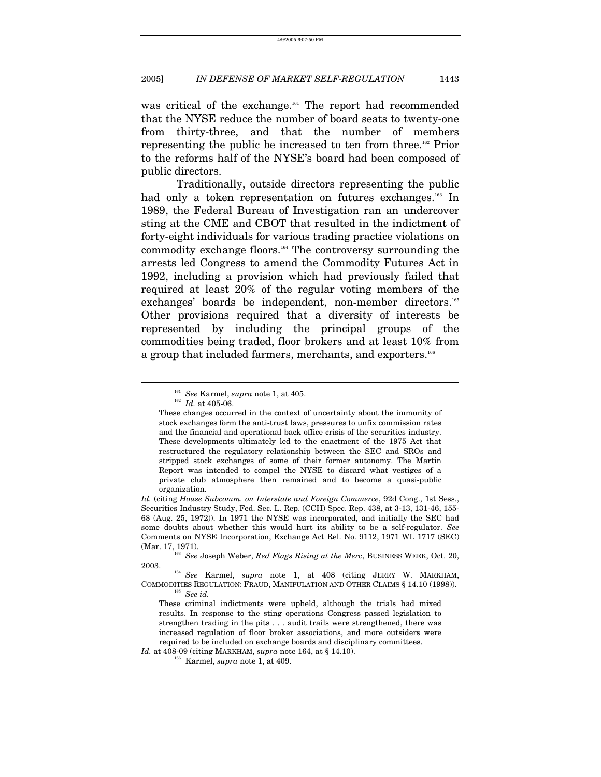was critical of the exchange.<sup>161</sup> The report had recommended that the NYSE reduce the number of board seats to twenty-one from thirty-three, and that the number of members representing the public be increased to ten from three[.162](#page-25-1) Prior to the reforms half of the NYSE's board had been composed of public directors.

Traditionally, outside directors representing the public had only a token representation on futures exchanges.<sup>163</sup> In 1989, the Federal Bureau of Investigation ran an undercover sting at the CME and CBOT that resulted in the indictment of forty-eight individuals for various trading practice violations on commodity exchange floors[.164](#page-25-3) The controversy surrounding the arrests led Congress to amend the Commodity Futures Act in 1992, including a provision which had previously failed that required at least 20% of the regular voting members of the exchanges' boards be independent, non-member directors.<sup>165</sup> Other provisions required that a diversity of interests be represented by including the principal groups of the commodities being traded, floor brokers and at least 10% from a group that included farmers, merchants, and exporters.<sup>[166](#page-25-5)</sup>

<span id="page-25-0"></span><sup>161</sup> *See* Karmel, *supra* note 1, at 405. 162 *Id.* at 405-06.

<span id="page-25-1"></span>

These changes occurred in the context of uncertainty about the immunity of stock exchanges form the anti-trust laws, pressures to unfix commission rates and the financial and operational back office crisis of the securities industry. These developments ultimately led to the enactment of the 1975 Act that restructured the regulatory relationship between the SEC and SROs and stripped stock exchanges of some of their former autonomy. The Martin Report was intended to compel the NYSE to discard what vestiges of a private club atmosphere then remained and to become a quasi-public organization.

*Id.* (citing *House Subcomm. on Interstate and Foreign Commerce*, 92d Cong., 1st Sess., Securities Industry Study, Fed. Sec. L. Rep. (CCH) Spec. Rep. 438, at 3-13, 131-46, 155- 68 (Aug. 25, 1972)). In 1971 the NYSE was incorporated, and initially the SEC had some doubts about whether this would hurt its ability to be a self-regulator. *See*  Comments on NYSE Incorporation, Exchange Act Rel. No. 9112, 1971 WL 1717 (SEC)

<span id="page-25-2"></span><sup>(</sup>Mar. 17, 1971).<br><sup>163</sup> *See* Joseph Weber, *Red Flags Rising at the Merc*, BUSINESS WEEK, Oct. 20, 2003.

<sup>&</sup>lt;sup>164</sup> See Karmel, *supra* note 1, at 408 (citing JERRY W. MARKHAM, COMMODITIES REGULATION: FRAUD, MANIPULATION AND OTHER CLAIMS § 14.10 (1998)).<br><sup>165</sup> See *id.* 

<span id="page-25-4"></span><span id="page-25-3"></span>These criminal indictments were upheld, although the trials had mixed results. In response to the sting operations Congress passed legislation to strengthen trading in the pits . . . audit trails were strengthened, there was increased regulation of floor broker associations, and more outsiders were required to be included on exchange boards and disciplinary committees.

*Id.* at 408-09 (citing MARKHAM, *supra* note 164, at § 14.10). <sup>166</sup> Karmel, *supra* note 1, at 409.

<span id="page-25-5"></span>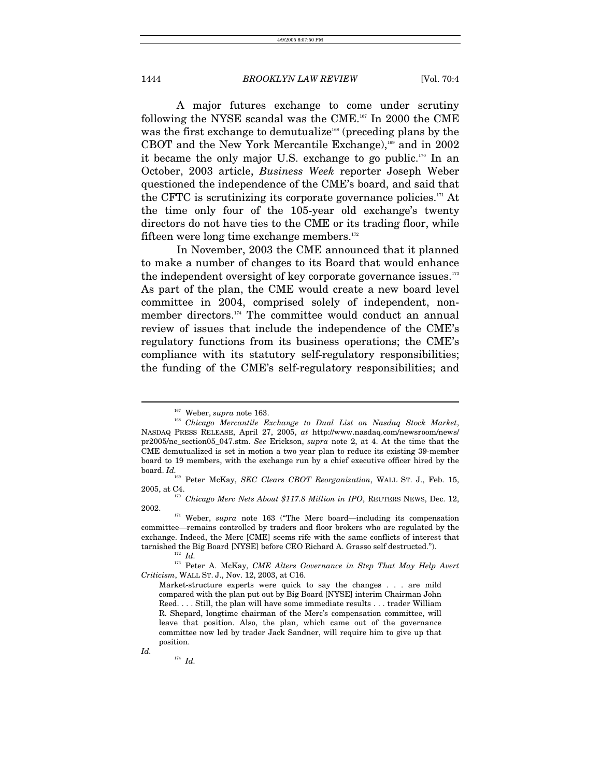A major futures exchange to come under scrutiny following the NYSE scandal was the CME[.167](#page-26-0) In 2000 the CME was the first exchange to demutualize<sup>168</sup> (preceding plans by the CBOT and the New York Mercantile Exchange), $169$  and in 2002 it became the only major U.S. exchange to go public[.170](#page-26-3) In an October, 2003 article, *Business Week* reporter Joseph Weber questioned the independence of the CME's board, and said that the CFTC is scrutinizing its corporate governance policies. $171$  At the time only four of the 105-year old exchange's twenty directors do not have ties to the CME or its trading floor, while fifteen were long time exchange members[.172](#page-26-5)

In November, 2003 the CME announced that it planned to make a number of changes to its Board that would enhance the independent oversight of key corporate governance issues. $173$ As part of the plan, the CME would create a new board level committee in 2004, comprised solely of independent, nonmember directors.[174](#page-26-7) The committee would conduct an annual review of issues that include the independence of the CME's regulatory functions from its business operations; the CME's compliance with its statutory self-regulatory responsibilities; the funding of the CME's self-regulatory responsibilities; and

<span id="page-26-7"></span><sup>174</sup> *Id.*

*Id.* 

<span id="page-26-1"></span><span id="page-26-0"></span>

<sup>&</sup>lt;sup>167</sup> Weber, *supra* note 163.<br><sup>168</sup> Chicago Mercantile Exchange to Dual List on Nasdaq Stock Market, NASDAQ PRESS RELEASE, April 27, 2005, *at* http://www.nasdaq.com/newsroom/news/ pr2005/ne\_section05\_047.stm. *See* Erickson, *supra* note 2, at 4. At the time that the CME demutualized is set in motion a two year plan to reduce its existing 39-member board to 19 members, with the exchange run by a chief executive officer hired by the  $\frac{b \theta a}{b}$  *Id.* 

<span id="page-26-2"></span> $^{169}$  Peter McKay, *SEC Clears CBOT Reorganization*, WALL ST. J., Feb. 15, 2005. at C4.

<span id="page-26-3"></span><sup>2005,</sup> at C4. 170 *Chicago Merc Nets About \$117.8 Million in IPO*, REUTERS NEWS, Dec. 12,

<span id="page-26-4"></span><sup>2002. 171</sup> Weber, *supra* note 163 ("The Merc board—including its compensation committee—remains controlled by traders and floor brokers who are regulated by the exchange. Indeed, the Merc [CME] seems rife with the same conflicts of interest that tarnished the Big Board [NYSE] before CEO Richard A. Grasso self destructed.").<br><sup>173</sup> *Id.* <sup>173</sup> Peter A. McKay, *CME Alters Governance in Step That May Help Avert* 

<span id="page-26-6"></span><span id="page-26-5"></span>

*Criticism*, WALL ST. J., Nov. 12, 2003, at C16.

Market-structure experts were quick to say the changes . . . are mild compared with the plan put out by Big Board [NYSE] interim Chairman John Reed. . . . Still, the plan will have some immediate results . . . trader William R. Shepard, longtime chairman of the Merc's compensation committee, will leave that position. Also, the plan, which came out of the governance committee now led by trader Jack Sandner, will require him to give up that position.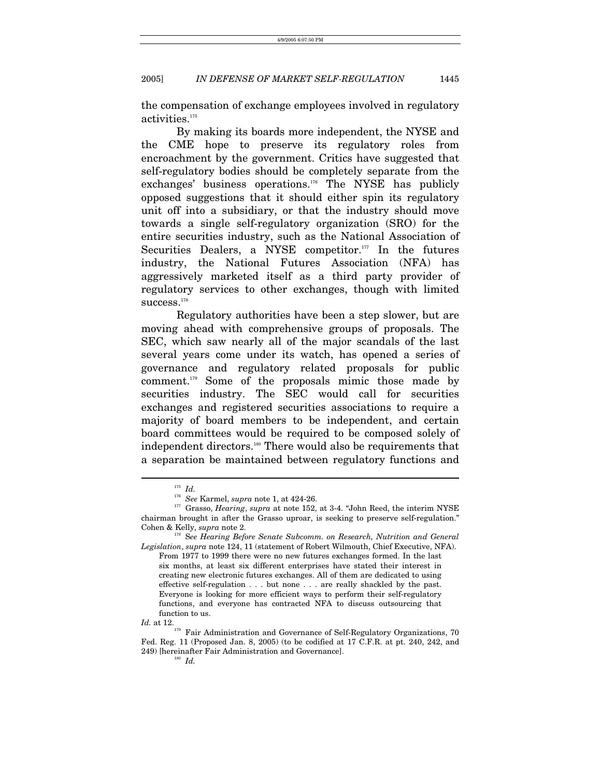the compensation of exchange employees involved in regulatory activities.<sup>[175](#page-27-0)</sup>

By making its boards more independent, the NYSE and the CME hope to preserve its regulatory roles from encroachment by the government. Critics have suggested that self-regulatory bodies should be completely separate from the exchanges' business operations[.176](#page-27-1) The NYSE has publicly opposed suggestions that it should either spin its regulatory unit off into a subsidiary, or that the industry should move towards a single self-regulatory organization (SRO) for the entire securities industry, such as the National Association of Securities Dealers, a NYSE competitor. $177$  In the futures industry, the National Futures Association (NFA) has aggressively marketed itself as a third party provider of regulatory services to other exchanges, though with limited  $\mathrm{success.}^\mathrm{178}$  $\mathrm{success.}^\mathrm{178}$  $\mathrm{success.}^\mathrm{178}$ 

Regulatory authorities have been a step slower, but are moving ahead with comprehensive groups of proposals. The SEC, which saw nearly all of the major scandals of the last several years come under its watch, has opened a series of governance and regulatory related proposals for public comment.[179](#page-27-4) Some of the proposals mimic those made by securities industry. The SEC would call for securities exchanges and registered securities associations to require a majority of board members to be independent, and certain board committees would be required to be composed solely of independent directors.<sup>180</sup> There would also be requirements that a separation be maintained between regulatory functions and

<span id="page-27-0"></span>

<span id="page-27-2"></span><span id="page-27-1"></span>

<sup>175</sup> *Id.* 176 *See* Karmel, *supra* note 1, at 424-26. 177 Grasso, *Hearing*, *supra* at note 152, at 3-4. "John Reed, the interim NYSE chairman brought in after the Grasso uproar, is seeking to preserve self-regulation." Cohen & Kelly, *supra* note 2. 178 S*ee Hearing Before Senate Subcomm. on Research, Nutrition and General* 

<span id="page-27-3"></span>*Legislation*, *supra* note 124, 11 (statement of Robert Wilmouth, Chief Executive, NFA). From 1977 to 1999 there were no new futures exchanges formed. In the last six months, at least six different enterprises have stated their interest in creating new electronic futures exchanges. All of them are dedicated to using effective self-regulation . . . but none . . . are really shackled by the past. Everyone is looking for more efficient ways to perform their self-regulatory functions, and everyone has contracted NFA to discuss outsourcing that function to us.

*Id.* at 12.<br><sup>179</sup> Fair Administration and Governance of Self-Regulatory Organizations, 70 Fed. Reg. 11 (Proposed Jan. 8, 2005) (to be codified at 17 C.F.R. at pt. 240, 242, and 249) [hereinafter Fair Administration and Governance].<br><sup>180</sup> *Id.* 

<span id="page-27-5"></span><span id="page-27-4"></span>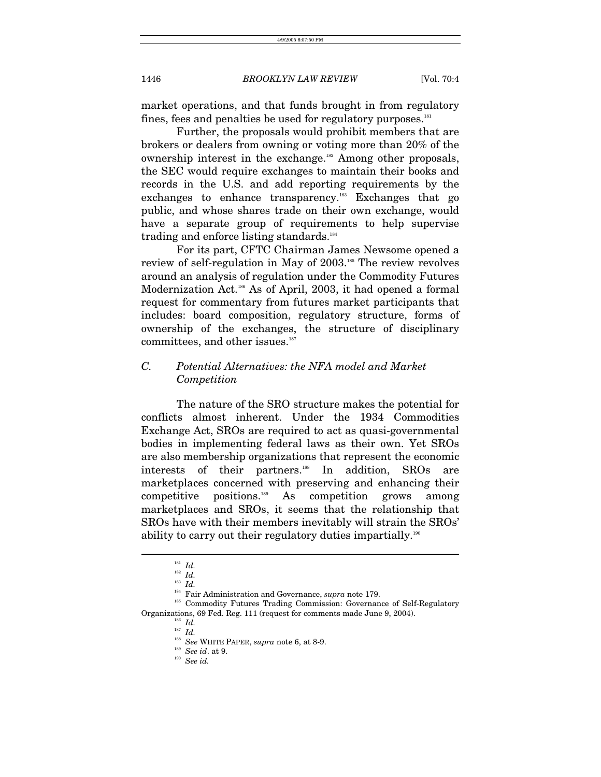market operations, and that funds brought in from regulatory fines, fees and penalties be used for regulatory purposes.<sup>181</sup>

Further, the proposals would prohibit members that are brokers or dealers from owning or voting more than 20% of the ownership interest in the exchange[.182](#page-28-1) Among other proposals, the SEC would require exchanges to maintain their books and records in the U.S. and add reporting requirements by the exchanges to enhance transparency.[183](#page-28-2) Exchanges that go public, and whose shares trade on their own exchange, would have a separate group of requirements to help supervise trading and enforce listing standards.<sup>184</sup>

For its part, CFTC Chairman James Newsome opened a review of self-regulation in May of 2003.[185](#page-28-4) The review revolves around an analysis of regulation under the Commodity Futures Modernization Act[.186](#page-28-5) As of April, 2003, it had opened a formal request for commentary from futures market participants that includes: board composition, regulatory structure, forms of ownership of the exchanges, the structure of disciplinary committees, and other issues.<sup>187</sup>

# *C. Potential Alternatives: the NFA model and Market Competition*

The nature of the SRO structure makes the potential for conflicts almost inherent. Under the 1934 Commodities Exchange Act, SROs are required to act as quasi-governmental bodies in implementing federal laws as their own. Yet SROs are also membership organizations that represent the economic interests of their partners.<sup>188</sup> In addition, SROs are marketplaces concerned with preserving and enhancing their competitive positions.[189](#page-28-8) As competition grows among marketplaces and SROs, it seems that the relationship that SROs have with their members inevitably will strain the SROs' ability to carry out their regulatory duties impartially.[190](#page-28-9) 

 $\overline{a}$ 

183*Id.*<br><sup>184</sup> Fair Administration and Governance, *supra* note 179.<br><sup>185</sup> Commodity Futures Trading Commission: Governance of Self-Regulatory Organizations, 69 Fed. Reg. 111 (request for comments made June 9, 2004).<br><sup>186</sup> *Id.* 

<span id="page-28-0"></span> $\begin{array}{ll} \text{\tiny{181}} & Id. \\ \text{\tiny{182}} & Id. \end{array}$ 

<span id="page-28-1"></span>

<span id="page-28-2"></span>

<span id="page-28-4"></span><span id="page-28-3"></span>

<span id="page-28-6"></span><span id="page-28-5"></span><sup>187</sup> *Id.*

<span id="page-28-7"></span><sup>188</sup> *See* WHITE PAPER, *supra* note 6, at 8-9. 189 *See id*. at 9. 190 *See id.*

<span id="page-28-8"></span>

<span id="page-28-9"></span>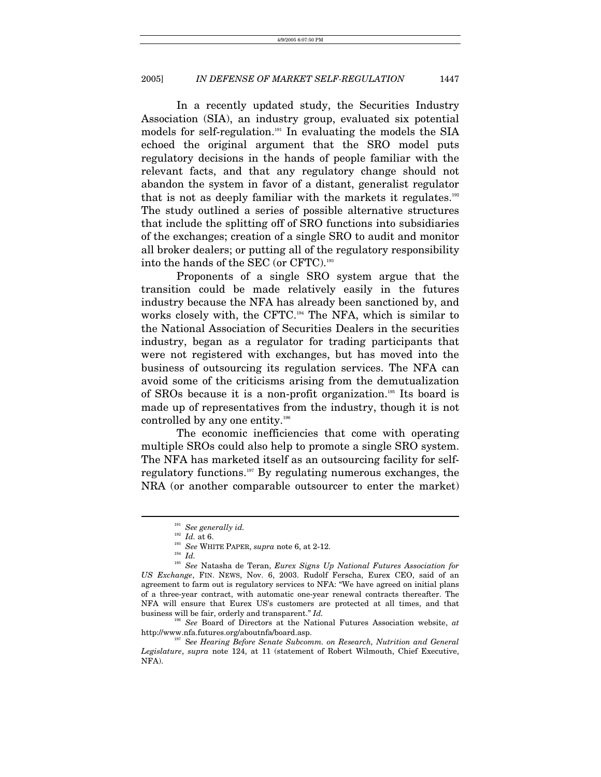In a recently updated study, the Securities Industry Association (SIA), an industry group, evaluated six potential models for self-regulation.[191](#page-29-0) In evaluating the models the SIA echoed the original argument that the SRO model puts regulatory decisions in the hands of people familiar with the relevant facts, and that any regulatory change should not abandon the system in favor of a distant, generalist regulator that is not as deeply familiar with the markets it regulates. $192$ The study outlined a series of possible alternative structures that include the splitting off of SRO functions into subsidiaries of the exchanges; creation of a single SRO to audit and monitor all broker dealers; or putting all of the regulatory responsibility into the hands of the SEC (or CFTC).[193](#page-29-2) 

Proponents of a single SRO system argue that the transition could be made relatively easily in the futures industry because the NFA has already been sanctioned by, and works closely with, the CFTC[.194](#page-29-3) The NFA, which is similar to the National Association of Securities Dealers in the securities industry, began as a regulator for trading participants that were not registered with exchanges, but has moved into the business of outsourcing its regulation services. The NFA can avoid some of the criticisms arising from the demutualization of SROs because it is a non-profit organization[.195](#page-29-4) Its board is made up of representatives from the industry, though it is not controlled by any one entity.<sup>196</sup>

The economic inefficiencies that come with operating multiple SROs could also help to promote a single SRO system. The NFA has marketed itself as an outsourcing facility for selfregulatory functions[.197](#page-29-6) By regulating numerous exchanges, the NRA (or another comparable outsourcer to enter the market)

<span id="page-29-0"></span> $\frac{191}{192}$  *See generally id.*<br> $Id.$  at 6.

<span id="page-29-1"></span>

<span id="page-29-2"></span>

<span id="page-29-4"></span><span id="page-29-3"></span>

<sup>&</sup>lt;sup>193</sup> See WHITE PAPER, *supra* note 6, at 2-12.<br><sup>194</sup> Id.<br><sup>195</sup> See Natasha de Teran, *Eurex Signs Up National Futures Association for US Exchange*, FIN. NEWS, Nov. 6, 2003. Rudolf Ferscha, Eurex CEO, said of an agreement to farm out is regulatory services to NFA: "We have agreed on initial plans of a three-year contract, with automatic one-year renewal contracts thereafter. The NFA will ensure that Eurex US's customers are protected at all times, and that business will be fair, orderly and transparent." *Id.*

<span id="page-29-5"></span><sup>196</sup> *See* Board of Directors at the National Futures Association website, *at* http://www.nfa.futures.org/aboutnfa/board.asp. 197 S*ee Hearing Before Senate Subcomm. on Research, Nutrition and General* 

<span id="page-29-6"></span>*Legislature*, *supra* note 124, at 11 (statement of Robert Wilmouth, Chief Executive, NFA).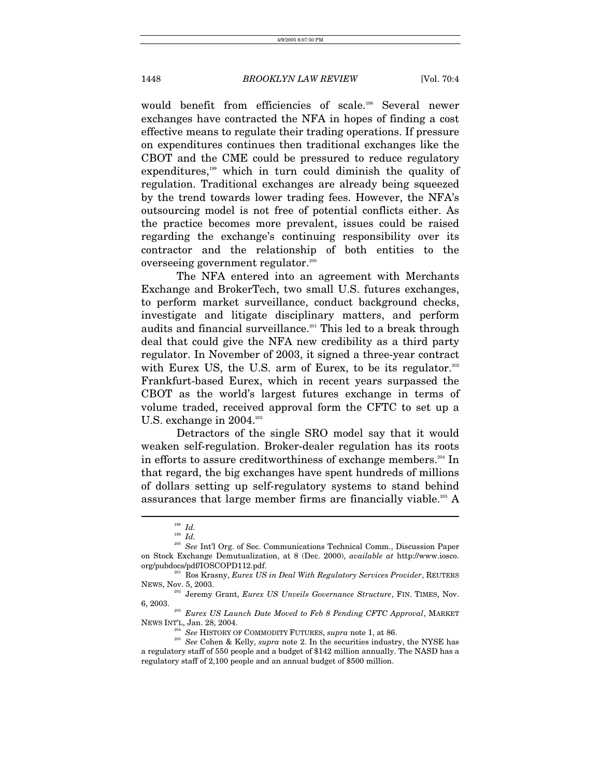would benefit from efficiencies of scale.<sup>198</sup> Several newer exchanges have contracted the NFA in hopes of finding a cost effective means to regulate their trading operations. If pressure on expenditures continues then traditional exchanges like the CBOT and the CME could be pressured to reduce regulatory expenditures,<sup>199</sup> which in turn could diminish the quality of regulation. Traditional exchanges are already being squeezed by the trend towards lower trading fees. However, the NFA's outsourcing model is not free of potential conflicts either. As the practice becomes more prevalent, issues could be raised regarding the exchange's continuing responsibility over its contractor and the relationship of both entities to the overseeing government regulator.<sup>200</sup>

The NFA entered into an agreement with Merchants Exchange and BrokerTech, two small U.S. futures exchanges, to perform market surveillance, conduct background checks, investigate and litigate disciplinary matters, and perform audits and financial surveillance.<sup>201</sup> This led to a break through deal that could give the NFA new credibility as a third party regulator. In November of 2003, it signed a three-year contract with Eurex US, the U.S. arm of Eurex, to be its regulator.<sup>202</sup> Frankfurt-based Eurex, which in recent years surpassed the CBOT as the world's largest futures exchange in terms of volume traded, received approval form the CFTC to set up a U.S. exchange in  $2004.^{203}$ 

Detractors of the single SRO model say that it would weaken self-regulation. Broker-dealer regulation has its roots in efforts to assure creditworthiness of exchange members.<sup>204</sup> In that regard, the big exchanges have spent hundreds of millions of dollars setting up self-regulatory systems to stand behind assurances that large member firms are financially viable.<sup>205</sup> A

<span id="page-30-0"></span><sup>198</sup> *Id.*

<span id="page-30-2"></span><span id="page-30-1"></span><sup>199</sup> *Id.*

<sup>&</sup>lt;sup>200</sup> See Int'l Org. of Sec. Communications Technical Comm., Discussion Paper on Stock Exchange Demutualization, at 8 (Dec. 2000), *available at* http://www.iosco.

<span id="page-30-3"></span><sup>&</sup>lt;sup>201</sup> Ros Krasny, *Eurex US in Deal With Regulatory Services Provider*, REUTERS

<span id="page-30-4"></span>NEWS, Nov. 5, 2003.<br><sup>202</sup> Jeremy Grant, *Eurex US Unveils Governance Structure*, FIN. TIMES, Nov. 6, 2003.

<sup>&</sup>lt;sup>203</sup> Eurex US Launch Date Moved to Feb 8 Pending CFTC Approval, MARKET NEWS INT'L, Jan. 28, 2004.<br><sup>204</sup> See HISTORY OF COMMODITY FUTURES, *supra* note 1, at 86.<br><sup>205</sup> See Cohen & Kelly, *supra* note 2. In the securities industry, the NYSE has

<span id="page-30-7"></span><span id="page-30-6"></span><span id="page-30-5"></span>

a regulatory staff of 550 people and a budget of \$142 million annually. The NASD has a regulatory staff of 2,100 people and an annual budget of \$500 million.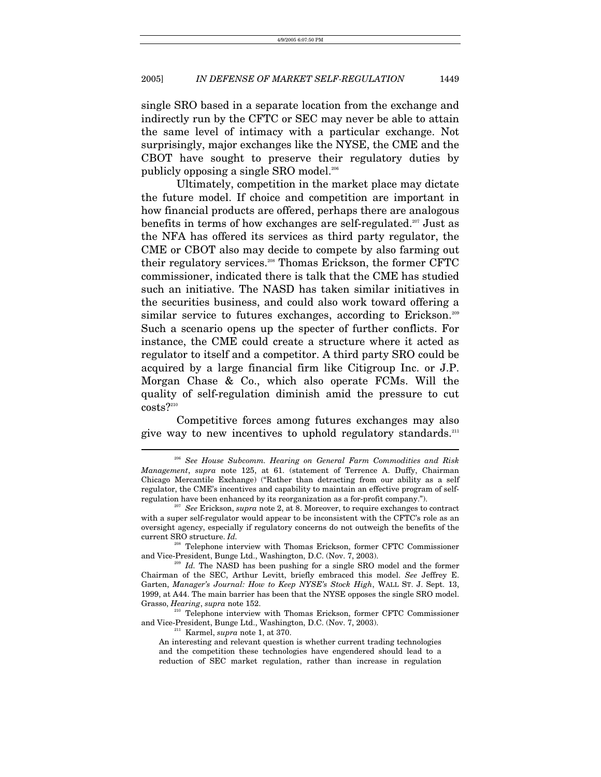single SRO based in a separate location from the exchange and indirectly run by the CFTC or SEC may never be able to attain the same level of intimacy with a particular exchange. Not surprisingly, major exchanges like the NYSE, the CME and the CBOT have sought to preserve their regulatory duties by publicly opposing a single SRO model.[206](#page-31-0)

Ultimately, competition in the market place may dictate the future model. If choice and competition are important in how financial products are offered, perhaps there are analogous benefits in terms of how exchanges are self-regulated.<sup>207</sup> Just as the NFA has offered its services as third party regulator, the CME or CBOT also may decide to compete by also farming out their regulatory services.[208](#page-31-2) Thomas Erickson, the former CFTC commissioner, indicated there is talk that the CME has studied such an initiative. The NASD has taken similar initiatives in the securities business, and could also work toward offering a similar service to futures exchanges, according to Erickson.<sup>209</sup> Such a scenario opens up the specter of further conflicts. For instance, the CME could create a structure where it acted as regulator to itself and a competitor. A third party SRO could be acquired by a large financial firm like Citigroup Inc. or J.P. Morgan Chase & Co., which also operate FCMs. Will the quality of self-regulation diminish amid the pressure to cut  ${\rm costs?}^{\scriptscriptstyle 210}$  ${\rm costs?}^{\scriptscriptstyle 210}$  ${\rm costs?}^{\scriptscriptstyle 210}$ 

Competitive forces among futures exchanges may also give way to new incentives to uphold regulatory standards.<sup>211</sup>

<span id="page-31-2"></span><sup>208</sup> Telephone interview with Thomas Erickson, former CFTC Commissioner and Vice-President, Bunge Ltd., Washington, D.C. (Nov. 7, 2003).

<span id="page-31-3"></span><sup>209</sup> Id., The NASD has been pushing for a single SRO model and the former Chairman of the SEC, Arthur Levitt, briefly embraced this model. *See* Jeffrey E. Garten, *Manager's Journal: How to Keep NYSE's Stock High*, WALL ST. J. Sept. 13, 1999, at A44. The main barrier has been that the NYSE opposes the single SRO model. Grasso, *Hearing*, *supra* note 152.<br><sup>210</sup> Telephone interview with Thomas Erickson, former CFTC Commissioner

and Vice-President, Bunge Ltd., Washington, D.C. (Nov. 7, 2003). 211 Karmel, *supra* note 1, at 370.

<span id="page-31-5"></span><span id="page-31-4"></span>

 $\overline{a}$ 

An interesting and relevant question is whether current trading technologies and the competition these technologies have engendered should lead to a reduction of SEC market regulation, rather than increase in regulation

<span id="page-31-0"></span><sup>206</sup> *See House Subcomm. Hearing on General Farm Commodities and Risk Management*, *supra* note 125, at 61. (statement of Terrence A. Duffy, Chairman Chicago Mercantile Exchange) ("Rather than detracting from our ability as a self regulator, the CME's incentives and capability to maintain an effective program of selfregulation have been enhanced by its reorganization as a for-profit company."). 207 *See* Erickson, *supra* note 2, at 8. Moreover, to require exchanges to contract

<span id="page-31-1"></span>with a super self-regulator would appear to be inconsistent with the CFTC's role as an oversight agency, especially if regulatory concerns do not outweigh the benefits of the current SRO structure. *Id.*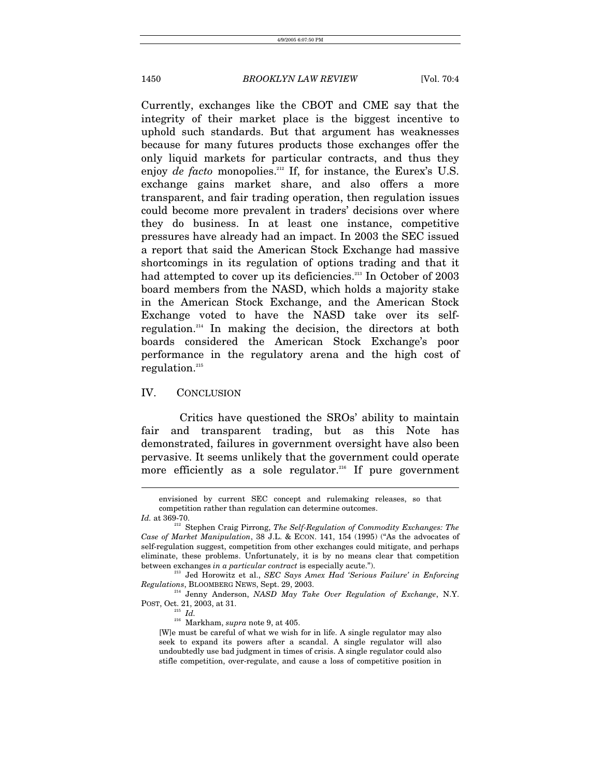Currently, exchanges like the CBOT and CME say that the integrity of their market place is the biggest incentive to uphold such standards. But that argument has weaknesses because for many futures products those exchanges offer the only liquid markets for particular contracts, and thus they enjoy *de facto* monopolies.<sup>212</sup> If, for instance, the Eurex's U.S. exchange gains market share, and also offers a more transparent, and fair trading operation, then regulation issues could become more prevalent in traders' decisions over where they do business. In at least one instance, competitive pressures have already had an impact. In 2003 the SEC issued a report that said the American Stock Exchange had massive shortcomings in its regulation of options trading and that it had attempted to cover up its deficiencies.<sup>213</sup> In October of 2003 board members from the NASD, which holds a majority stake in the American Stock Exchange, and the American Stock Exchange voted to have the NASD take over its selfregulation.[214](#page-32-2) In making the decision, the directors at both boards considered the American Stock Exchange's poor performance in the regulatory arena and the high cost of regulation.[215](#page-32-3)

#### IV. CONCLUSION

Critics have questioned the SROs' ability to maintain fair and transparent trading, but as this Note has demonstrated, failures in government oversight have also been pervasive. It seems unlikely that the government could operate more efficiently as a sole regulator.<sup>216</sup> If pure government

envisioned by current SEC concept and rulemaking releases, so that competition rather than regulation can determine outcomes.

<span id="page-32-0"></span>

*Id.* at 369-70. 212 Stephen Craig Pirrong, *The Self-Regulation of Commodity Exchanges: The Case of Market Manipulation*, 38 J.L. & ECON. 141, 154 (1995) ("As the advocates of self-regulation suggest, competition from other exchanges could mitigate, and perhaps eliminate, these problems. Unfortunately, it is by no means clear that competition between exchanges in a particular contract is especially acute.").

<span id="page-32-1"></span><sup>&</sup>lt;sup>213</sup> Jed Horowitz et al., *SEC Says Amex Had 'Serious Failure' in Enforcing* 

*Regulations*, BLOOMBERG NEWS, Sept. 29, 2003.<br><sup>214</sup> Jenny Anderson, *NASD May Take Over Regulation of Exchange*, N.Y.<br>POST, Oct. 21, 2003, at 31.

<span id="page-32-4"></span>

<span id="page-32-3"></span><span id="page-32-2"></span> $\frac{215}{216}$   $\frac{Id}{M}$ . *Supra* note 9, at 405.

<sup>[</sup>W]e must be careful of what we wish for in life. A single regulator may also seek to expand its powers after a scandal. A single regulator will also undoubtedly use bad judgment in times of crisis. A single regulator could also stifle competition, over-regulate, and cause a loss of competitive position in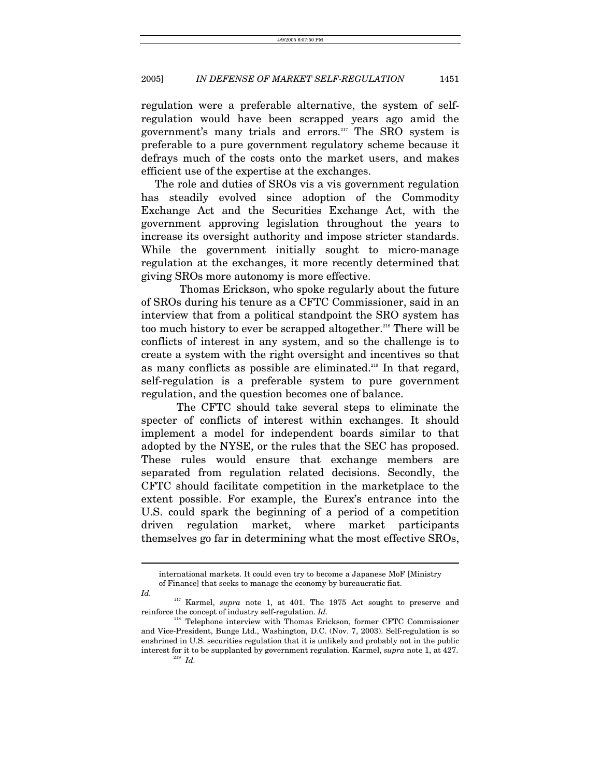regulation were a preferable alternative, the system of selfregulation would have been scrapped years ago amid the government's many trials and errors.[217](#page-33-0) The SRO system is preferable to a pure government regulatory scheme because it defrays much of the costs onto the market users, and makes efficient use of the expertise at the exchanges.

 The role and duties of SROs vis a vis government regulation has steadily evolved since adoption of the Commodity Exchange Act and the Securities Exchange Act, with the government approving legislation throughout the years to increase its oversight authority and impose stricter standards. While the government initially sought to micro-manage regulation at the exchanges, it more recently determined that giving SROs more autonomy is more effective.

 Thomas Erickson, who spoke regularly about the future of SROs during his tenure as a CFTC Commissioner, said in an interview that from a political standpoint the SRO system has too much history to ever be scrapped altogether.<sup>218</sup> There will be conflicts of interest in any system, and so the challenge is to create a system with the right oversight and incentives so that as many conflicts as possible are eliminated.<sup>219</sup> In that regard, self-regulation is a preferable system to pure government regulation, and the question becomes one of balance.

The CFTC should take several steps to eliminate the specter of conflicts of interest within exchanges. It should implement a model for independent boards similar to that adopted by the NYSE, or the rules that the SEC has proposed. These rules would ensure that exchange members are separated from regulation related decisions. Secondly, the CFTC should facilitate competition in the marketplace to the extent possible. For example, the Eurex's entrance into the U.S. could spark the beginning of a period of a competition driven regulation market, where market participants themselves go far in determining what the most effective SROs,

international markets. It could even try to become a Japanese MoF [Ministry of Finance] that seeks to manage the economy by bureaucratic fiat.

*Id.* 

<span id="page-33-0"></span><sup>&</sup>lt;sup>217</sup> Karmel, *supra* note 1, at 401. The 1975 Act sought to preserve and reinforce the concept of industry self-regulation. *Id*.

<span id="page-33-2"></span><span id="page-33-1"></span><sup>&</sup>lt;sup>8</sup> Telephone interview with Thomas Erickson, former CFTC Commissioner and Vice-President, Bunge Ltd., Washington, D.C. (Nov. 7, 2003). Self-regulation is so enshrined in U.S. securities regulation that it is unlikely and probably not in the public interest for it to be supplanted by government regulation. Karmel, *supra* note 1, at 427. 219 *Id.*